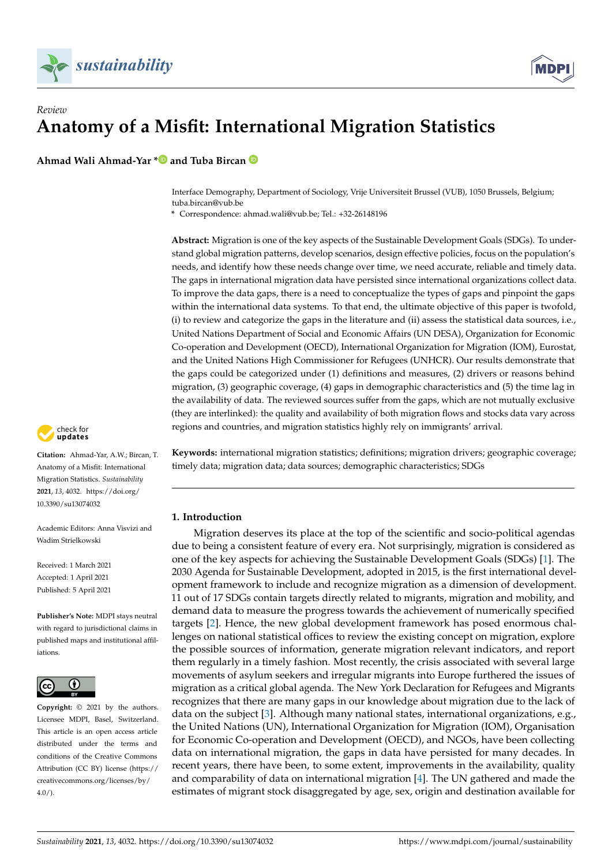

# *Review* **Anatomy of a Misfit: International Migration Statistics**

**Ahmad Wali Ahmad-Yar [\\*](https://orcid.org/0000-0001-9118-5140) and Tuba Bircan**

Interface Demography, Department of Sociology, Vrije Universiteit Brussel (VUB), 1050 Brussels, Belgium; tuba.bircan@vub.be

**\*** Correspondence: ahmad.wali@vub.be; Tel.: +32-26148196

**Abstract:** Migration is one of the key aspects of the Sustainable Development Goals (SDGs). To understand global migration patterns, develop scenarios, design effective policies, focus on the population's needs, and identify how these needs change over time, we need accurate, reliable and timely data. The gaps in international migration data have persisted since international organizations collect data. To improve the data gaps, there is a need to conceptualize the types of gaps and pinpoint the gaps within the international data systems. To that end, the ultimate objective of this paper is twofold, (i) to review and categorize the gaps in the literature and (ii) assess the statistical data sources, i.e., United Nations Department of Social and Economic Affairs (UN DESA), Organization for Economic Co-operation and Development (OECD), International Organization for Migration (IOM), Eurostat, and the United Nations High Commissioner for Refugees (UNHCR). Our results demonstrate that the gaps could be categorized under (1) definitions and measures, (2) drivers or reasons behind migration, (3) geographic coverage, (4) gaps in demographic characteristics and (5) the time lag in the availability of data. The reviewed sources suffer from the gaps, which are not mutually exclusive (they are interlinked): the quality and availability of both migration flows and stocks data vary across regions and countries, and migration statistics highly rely on immigrants' arrival.

**Keywords:** international migration statistics; definitions; migration drivers; geographic coverage; timely data; migration data; data sources; demographic characteristics; SDGs

# **1. Introduction**

Migration deserves its place at the top of the scientific and socio-political agendas due to being a consistent feature of every era. Not surprisingly, migration is considered as one of the key aspects for achieving the Sustainable Development Goals (SDGs) [\[1\]](#page-18-0). The 2030 Agenda for Sustainable Development, adopted in 2015, is the first international development framework to include and recognize migration as a dimension of development. 11 out of 17 SDGs contain targets directly related to migrants, migration and mobility, and demand data to measure the progress towards the achievement of numerically specified targets [\[2\]](#page-18-1). Hence, the new global development framework has posed enormous challenges on national statistical offices to review the existing concept on migration, explore the possible sources of information, generate migration relevant indicators, and report them regularly in a timely fashion. Most recently, the crisis associated with several large movements of asylum seekers and irregular migrants into Europe furthered the issues of migration as a critical global agenda. The New York Declaration for Refugees and Migrants recognizes that there are many gaps in our knowledge about migration due to the lack of data on the subject [\[3\]](#page-18-2). Although many national states, international organizations, e.g., the United Nations (UN), International Organization for Migration (IOM), Organisation for Economic Co-operation and Development (OECD), and NGOs, have been collecting data on international migration, the gaps in data have persisted for many decades. In recent years, there have been, to some extent, improvements in the availability, quality and comparability of data on international migration [\[4\]](#page-18-3). The UN gathered and made the estimates of migrant stock disaggregated by age, sex, origin and destination available for



**Citation:** Ahmad-Yar, A.W.; Bircan, T. Anatomy of a Misfit: International Migration Statistics. *Sustainability* **2021**, *13*, 4032. [https://doi.org/](https://doi.org/10.3390/su13074032) [10.3390/su13074032](https://doi.org/10.3390/su13074032)

Academic Editors: Anna Visvizi and Wadim Strielkowski

Received: 1 March 2021 Accepted: 1 April 2021 Published: 5 April 2021

**Publisher's Note:** MDPI stays neutral with regard to jurisdictional claims in published maps and institutional affiliations.



**Copyright:** © 2021 by the authors. Licensee MDPI, Basel, Switzerland. This article is an open access article distributed under the terms and conditions of the Creative Commons Attribution (CC BY) license (https:/[/](https://creativecommons.org/licenses/by/4.0/) [creativecommons.org/licenses/by/](https://creativecommons.org/licenses/by/4.0/) 4.0/).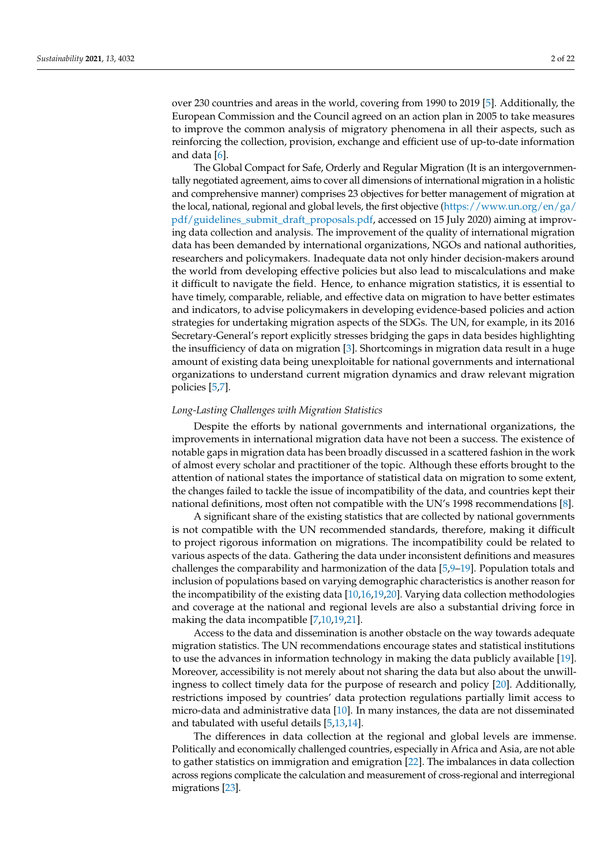over 230 countries and areas in the world, covering from 1990 to 2019 [\[5\]](#page-18-4). Additionally, the European Commission and the Council agreed on an action plan in 2005 to take measures to improve the common analysis of migratory phenomena in all their aspects, such as reinforcing the collection, provision, exchange and efficient use of up-to-date information and data [\[6\]](#page-18-5).

The Global Compact for Safe, Orderly and Regular Migration (It is an intergovernmentally negotiated agreement, aims to cover all dimensions of international migration in a holistic and comprehensive manner) comprises 23 objectives for better management of migration at the local, national, regional and global levels, the first objective [\(https://www.un.org/en/ga/](https://www.un.org/en/ga/pdf/guidelines_submit_draft_proposals.pdf) [pdf/guidelines\\_submit\\_draft\\_proposals.pdf,](https://www.un.org/en/ga/pdf/guidelines_submit_draft_proposals.pdf) accessed on 15 July 2020) aiming at improving data collection and analysis. The improvement of the quality of international migration data has been demanded by international organizations, NGOs and national authorities, researchers and policymakers. Inadequate data not only hinder decision-makers around the world from developing effective policies but also lead to miscalculations and make it difficult to navigate the field. Hence, to enhance migration statistics, it is essential to have timely, comparable, reliable, and effective data on migration to have better estimates and indicators, to advise policymakers in developing evidence-based policies and action strategies for undertaking migration aspects of the SDGs. The UN, for example, in its 2016 Secretary-General's report explicitly stresses bridging the gaps in data besides highlighting the insufficiency of data on migration [\[3\]](#page-18-2). Shortcomings in migration data result in a huge amount of existing data being unexploitable for national governments and international organizations to understand current migration dynamics and draw relevant migration policies [\[5](#page-18-4)[,7\]](#page-18-6).

# *Long-Lasting Challenges with Migration Statistics*

Despite the efforts by national governments and international organizations, the improvements in international migration data have not been a success. The existence of notable gaps in migration data has been broadly discussed in a scattered fashion in the work of almost every scholar and practitioner of the topic. Although these efforts brought to the attention of national states the importance of statistical data on migration to some extent, the changes failed to tackle the issue of incompatibility of the data, and countries kept their national definitions, most often not compatible with the UN's 1998 recommendations [\[8\]](#page-18-7).

A significant share of the existing statistics that are collected by national governments is not compatible with the UN recommended standards, therefore, making it difficult to project rigorous information on migrations. The incompatibility could be related to various aspects of the data. Gathering the data under inconsistent definitions and measures challenges the comparability and harmonization of the data [\[5](#page-18-4)[,9–](#page-18-8)[19\]](#page-19-0). Population totals and inclusion of populations based on varying demographic characteristics is another reason for the incompatibility of the existing data [\[10,](#page-18-9)[16,](#page-19-1)[19](#page-19-0)[,20\]](#page-19-2). Varying data collection methodologies and coverage at the national and regional levels are also a substantial driving force in making the data incompatible [\[7](#page-18-6)[,10](#page-18-9)[,19](#page-19-0)[,21\]](#page-19-3).

Access to the data and dissemination is another obstacle on the way towards adequate migration statistics. The UN recommendations encourage states and statistical institutions to use the advances in information technology in making the data publicly available [\[19\]](#page-19-0). Moreover, accessibility is not merely about not sharing the data but also about the unwillingness to collect timely data for the purpose of research and policy [\[20\]](#page-19-2). Additionally, restrictions imposed by countries' data protection regulations partially limit access to micro-data and administrative data [\[10\]](#page-18-9). In many instances, the data are not disseminated and tabulated with useful details [\[5,](#page-18-4)[13,](#page-19-4)[14\]](#page-19-5).

The differences in data collection at the regional and global levels are immense. Politically and economically challenged countries, especially in Africa and Asia, are not able to gather statistics on immigration and emigration [\[22\]](#page-19-6). The imbalances in data collection across regions complicate the calculation and measurement of cross-regional and interregional migrations [\[23\]](#page-19-7).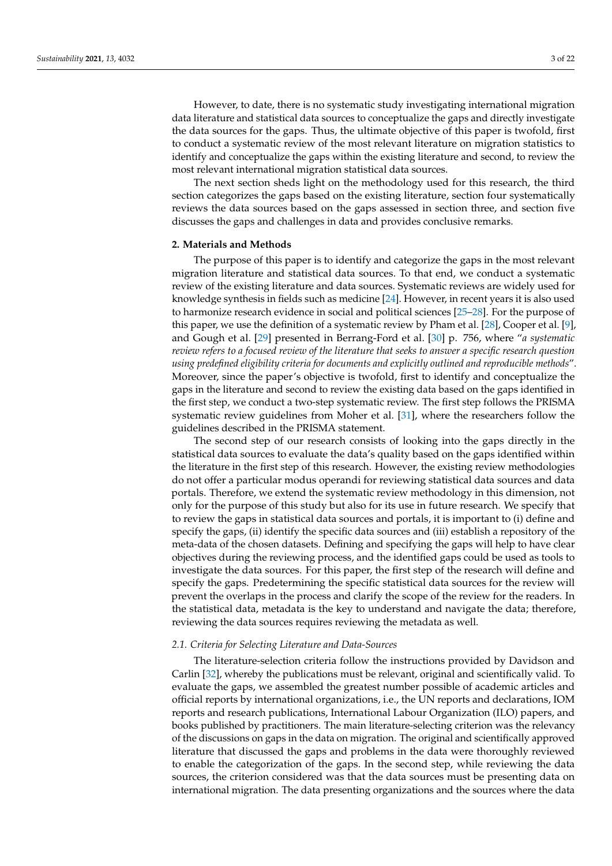However, to date, there is no systematic study investigating international migration data literature and statistical data sources to conceptualize the gaps and directly investigate the data sources for the gaps. Thus, the ultimate objective of this paper is twofold, first to conduct a systematic review of the most relevant literature on migration statistics to identify and conceptualize the gaps within the existing literature and second, to review the most relevant international migration statistical data sources.

The next section sheds light on the methodology used for this research, the third section categorizes the gaps based on the existing literature, section four systematically reviews the data sources based on the gaps assessed in section three, and section five discusses the gaps and challenges in data and provides conclusive remarks.

#### **2. Materials and Methods**

The purpose of this paper is to identify and categorize the gaps in the most relevant migration literature and statistical data sources. To that end, we conduct a systematic review of the existing literature and data sources. Systematic reviews are widely used for knowledge synthesis in fields such as medicine [\[24\]](#page-19-8). However, in recent years it is also used to harmonize research evidence in social and political sciences [\[25–](#page-19-9)[28\]](#page-19-10). For the purpose of this paper, we use the definition of a systematic review by Pham et al. [\[28\]](#page-19-10), Cooper et al. [\[9\]](#page-18-8), and Gough et al. [\[29\]](#page-19-11) presented in Berrang-Ford et al. [\[30\]](#page-19-12) p. 756, where "*a systematic review refers to a focused review of the literature that seeks to answer a specific research question using predefined eligibility criteria for documents and explicitly outlined and reproducible methods*". Moreover, since the paper's objective is twofold, first to identify and conceptualize the gaps in the literature and second to review the existing data based on the gaps identified in the first step, we conduct a two-step systematic review. The first step follows the PRISMA systematic review guidelines from Moher et al. [\[31\]](#page-19-13), where the researchers follow the guidelines described in the PRISMA statement.

The second step of our research consists of looking into the gaps directly in the statistical data sources to evaluate the data's quality based on the gaps identified within the literature in the first step of this research. However, the existing review methodologies do not offer a particular modus operandi for reviewing statistical data sources and data portals. Therefore, we extend the systematic review methodology in this dimension, not only for the purpose of this study but also for its use in future research. We specify that to review the gaps in statistical data sources and portals, it is important to (i) define and specify the gaps, (ii) identify the specific data sources and (iii) establish a repository of the meta-data of the chosen datasets. Defining and specifying the gaps will help to have clear objectives during the reviewing process, and the identified gaps could be used as tools to investigate the data sources. For this paper, the first step of the research will define and specify the gaps. Predetermining the specific statistical data sources for the review will prevent the overlaps in the process and clarify the scope of the review for the readers. In the statistical data, metadata is the key to understand and navigate the data; therefore, reviewing the data sources requires reviewing the metadata as well.

## *2.1. Criteria for Selecting Literature and Data-Sources*

The literature-selection criteria follow the instructions provided by Davidson and Carlin [\[32\]](#page-19-14), whereby the publications must be relevant, original and scientifically valid. To evaluate the gaps, we assembled the greatest number possible of academic articles and official reports by international organizations, i.e., the UN reports and declarations, IOM reports and research publications, International Labour Organization (ILO) papers, and books published by practitioners. The main literature-selecting criterion was the relevancy of the discussions on gaps in the data on migration. The original and scientifically approved literature that discussed the gaps and problems in the data were thoroughly reviewed to enable the categorization of the gaps. In the second step, while reviewing the data sources, the criterion considered was that the data sources must be presenting data on international migration. The data presenting organizations and the sources where the data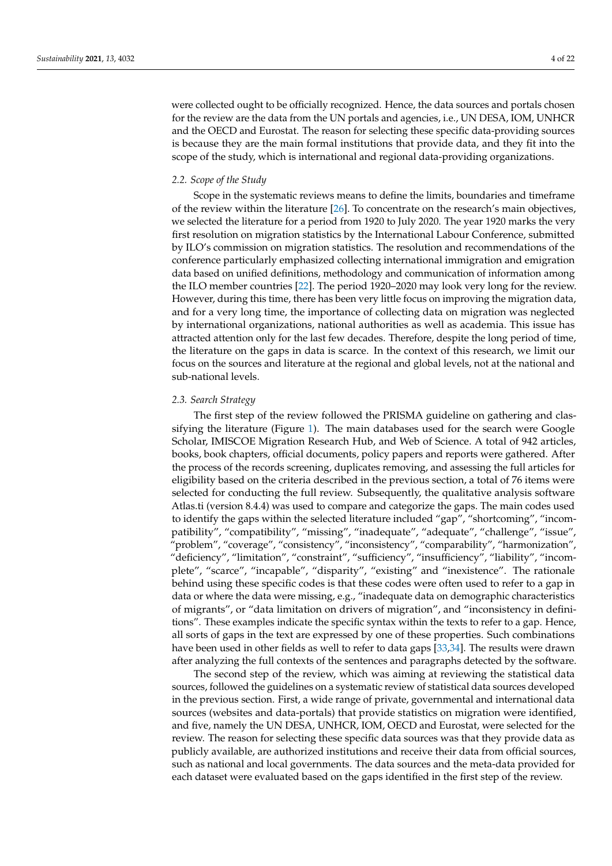were collected ought to be officially recognized. Hence, the data sources and portals chosen for the review are the data from the UN portals and agencies, i.e., UN DESA, IOM, UNHCR and the OECD and Eurostat. The reason for selecting these specific data-providing sources is because they are the main formal institutions that provide data, and they fit into the scope of the study, which is international and regional data-providing organizations.

## *2.2. Scope of the Study*

Scope in the systematic reviews means to define the limits, boundaries and timeframe of the review within the literature [\[26\]](#page-19-15). To concentrate on the research's main objectives, we selected the literature for a period from 1920 to July 2020. The year 1920 marks the very first resolution on migration statistics by the International Labour Conference, submitted by ILO's commission on migration statistics. The resolution and recommendations of the conference particularly emphasized collecting international immigration and emigration data based on unified definitions, methodology and communication of information among the ILO member countries [\[22\]](#page-19-6). The period 1920–2020 may look very long for the review. However, during this time, there has been very little focus on improving the migration data, and for a very long time, the importance of collecting data on migration was neglected by international organizations, national authorities as well as academia. This issue has attracted attention only for the last few decades. Therefore, despite the long period of time, the literature on the gaps in data is scarce. In the context of this research, we limit our focus on the sources and literature at the regional and global levels, not at the national and sub-national levels.

#### *2.3. Search Strategy*

The first step of the review followed the PRISMA guideline on gathering and classifying the literature (Figure [1\)](#page-4-0). The main databases used for the search were Google Scholar, IMISCOE Migration Research Hub, and Web of Science. A total of 942 articles, books, book chapters, official documents, policy papers and reports were gathered. After the process of the records screening, duplicates removing, and assessing the full articles for eligibility based on the criteria described in the previous section, a total of 76 items were selected for conducting the full review. Subsequently, the qualitative analysis software Atlas.ti (version 8.4.4) was used to compare and categorize the gaps. The main codes used to identify the gaps within the selected literature included "gap", "shortcoming", "incompatibility", "compatibility", "missing", "inadequate", "adequate", "challenge", "issue", "problem", "coverage", "consistency", "inconsistency", "comparability", "harmonization", "deficiency", "limitation", "constraint", "sufficiency", "insufficiency", "liability", "incomplete", "scarce", "incapable", "disparity", "existing" and "inexistence". The rationale behind using these specific codes is that these codes were often used to refer to a gap in data or where the data were missing, e.g., "inadequate data on demographic characteristics of migrants", or "data limitation on drivers of migration", and "inconsistency in definitions". These examples indicate the specific syntax within the texts to refer to a gap. Hence, all sorts of gaps in the text are expressed by one of these properties. Such combinations have been used in other fields as well to refer to data gaps [\[33,](#page-19-16)[34\]](#page-19-17). The results were drawn after analyzing the full contexts of the sentences and paragraphs detected by the software.

The second step of the review, which was aiming at reviewing the statistical data sources, followed the guidelines on a systematic review of statistical data sources developed in the previous section. First, a wide range of private, governmental and international data sources (websites and data-portals) that provide statistics on migration were identified, and five, namely the UN DESA, UNHCR, IOM, OECD and Eurostat, were selected for the review. The reason for selecting these specific data sources was that they provide data as publicly available, are authorized institutions and receive their data from official sources, such as national and local governments. The data sources and the meta-data provided for each dataset were evaluated based on the gaps identified in the first step of the review.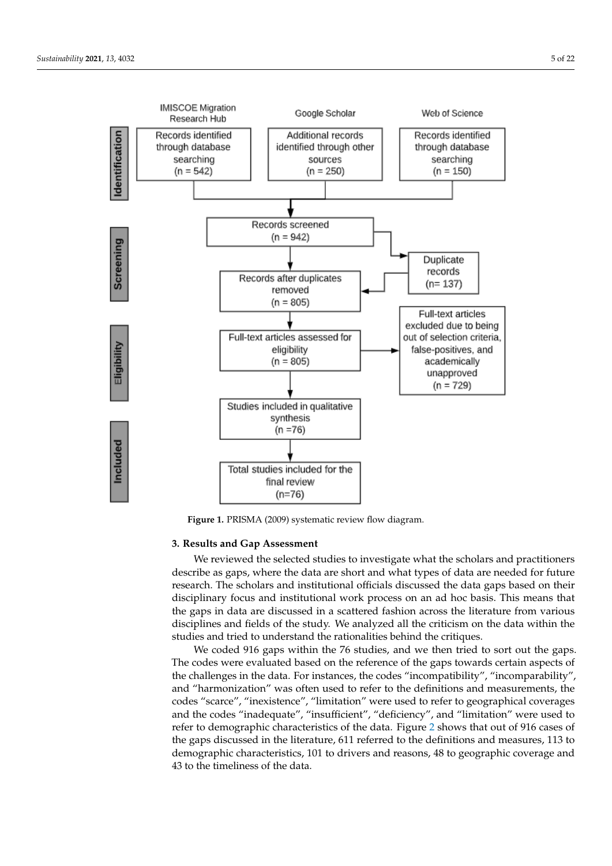<span id="page-4-0"></span>

**Figure 1.** PRISMA (2009) systematic review flow diagram. **Figure 1.** PRISMA (2009) systematic review flow diagram.

# **3. Results and Gap Assessment**

We reviewed the selected studies to investigate what the scholars and practitioners we reviewed the selected statistic to investigate what the scholars and practitioners describe as gaps, where the data are short and what types of data are needed for future research. The scholars and institutional officials discussed the data gaps based on their research. The senours and institutional work process on an ad hoc basis. This means that disciplinary focus and institutional work process on an ad hoc basis. This means that disciplinary to cast and institutional work process on an ad not sasts. This means and the gaps in data are discussed in a scattered fashion across the literature from various disciplines and fields of the study. We analyzed all the criticism on the data within the and provide and receiver the state, we analysed an the criticism on the data which the studies and tried to understand the rationalities behind the critiques.

We coded 916 gaps within the 76 studies, and we then tried to sort out the gaps. The codes were evaluated based on the reference of the gaps towards certain aspects of the challenges in the data. For instances, the codes "incompatibility", "incomparability", **3. Results and Gap Assessment** codes "scarce", "inexistence", "limitation" were used to refer to geographical coverages and the codes "inadequate", "insufficient", "deficiency", and "limitation" were used to refer to demographic characteristics of the data. Figure 2 shows that out of 916 cases of the gaps discussed in the literature, 611 referred to the definitions and measures, 113 to demographic characteristics, 101 to drivers and reasons, 48 to geographic coverage and 43 to the timeliness of the data. and "harmonization" was often used to refer to the definitions and measurements, the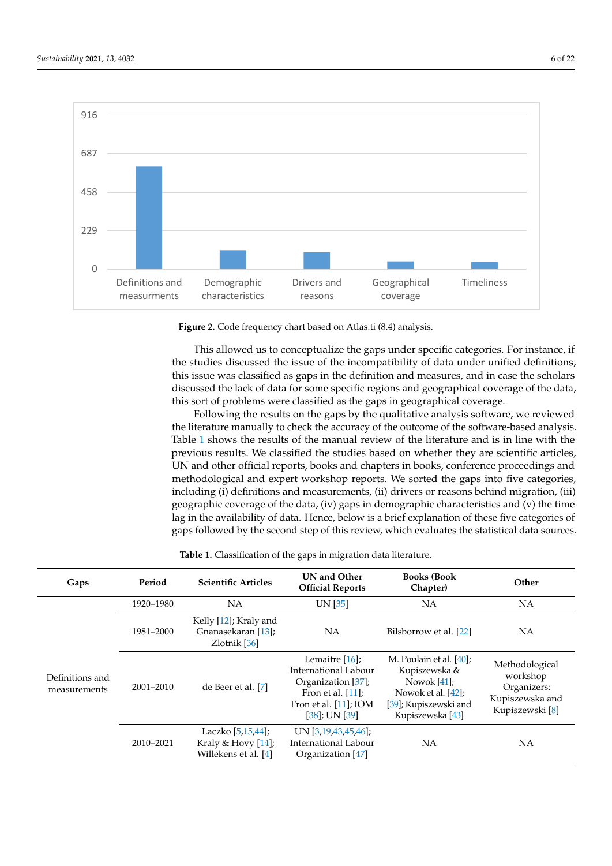<span id="page-5-0"></span>

**Figure 2.** Code frequency chart based on Atlas.ti (8.4) analysis. **Figure 2.** Code frequency chart based on Atlas.ti (8.4) analysis.

This allowed us to conceptualize the gaps under specific categories. For instance, if the studies discussed the issue of the incompatibility of data under unified definitions,<br>this issue was also if idea cannot the definition and measures, and in seco the scholars. discussed the lack of data for some specific regions and geographical coverage of the data, this sort of problems were classified as the gaps in geographical coverage. this issue was classified as gaps in the definition and measures, and in case the scholars

Following the results on the gaps by the qualitative analysis software, we reviewed the literature manually to check the accuracy of the outcome of the software-based analysis. Table [1](#page-7-0) shows the results of the manual review of the literature and is in line with the  $\frac{1}{2}$ previous results. We classified the studies based on with the many are seleiting articles,<br>UN and other official reports, books and chapters in books, conference proceedings and previous case concentrate form, social articles, they are seen, concentre for containing and methodological and expert workshop reports. We sorted the gaps into five categories, including (i) definitions and measurements, (ii) drivers or reasons behind migration, (iii) geographic coverage of the data, (iv) gaps in demographic characteristics and (v) the time lag in the availability of data. Hence, below is a brief explanation of these five categories of gaps followed by the second step of this review, which evaluates the statistical data sources. previous results. We classified the studies based on whether they are scientific articles,

| Gaps                            | Period        | <b>Scientific Articles</b>                                      | UN and Other<br><b>Official Reports</b>                                                                                                   | <b>Books (Book</b><br>Chapter)                                                                                                | Other                                                                           |
|---------------------------------|---------------|-----------------------------------------------------------------|-------------------------------------------------------------------------------------------------------------------------------------------|-------------------------------------------------------------------------------------------------------------------------------|---------------------------------------------------------------------------------|
| Definitions and<br>measurements | 1920-1980     | NA                                                              | UN [35]                                                                                                                                   | NA                                                                                                                            | NA                                                                              |
|                                 | 1981-2000     | Kelly [12]; Kraly and<br>Gnanasekaran [13];<br>Zlotnik [36]     | <b>NA</b>                                                                                                                                 | Bilsborrow et al. [22]                                                                                                        | NA                                                                              |
|                                 | $2001 - 2010$ | de Beer et al. [7]                                              | Lemaitre $[16]$ ;<br>International Labour<br>Organization [37];<br>Fron et al. $[11]$ ;<br>Fron et al. $[11]$ ; IOM<br>$[38]$ ; UN $[39]$ | M. Poulain et al. [40];<br>Kupiszewska &<br>Nowok $[41]$ ;<br>Nowok et al. [42];<br>[39]; Kupiszewski and<br>Kupiszewska [43] | Methodological<br>workshop<br>Organizers:<br>Kupiszewska and<br>Kupiszewski [8] |
|                                 | 2010-2021     | Laczko [5,15,44];<br>Kraly & Hovy [14];<br>Willekens et al. [4] | UN [3,19,43,45,46];<br>International Labour<br>Organization [47]                                                                          | NA                                                                                                                            | NA                                                                              |

| <b>Table 1.</b> Classification of the gaps in migration data literature. |  |
|--------------------------------------------------------------------------|--|
|                                                                          |  |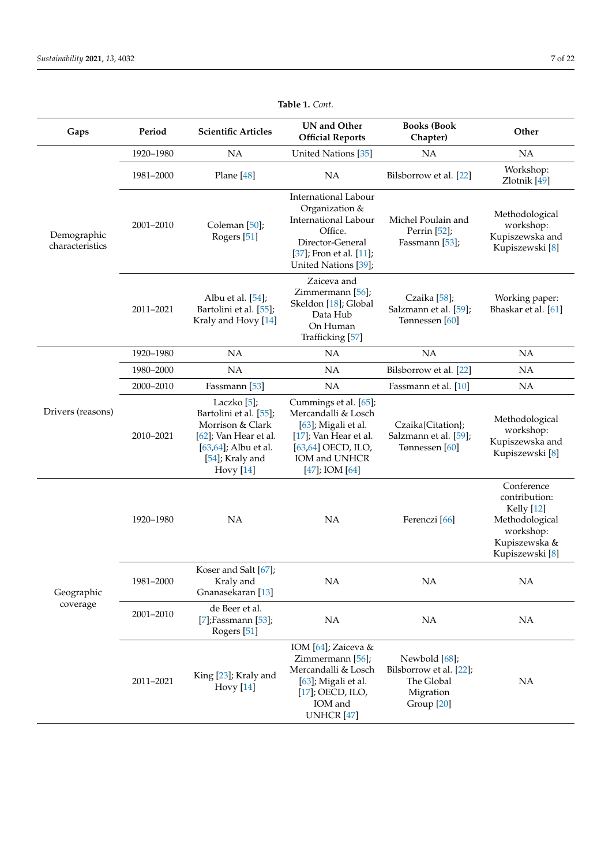| Gaps                           | Period    | <b>Scientific Articles</b>                                                                                                                        | <b>UN</b> and Other<br><b>Official Reports</b>                                                                                                             | <b>Books (Book</b><br>Chapter)                                                    | Other                                                                                                                   |
|--------------------------------|-----------|---------------------------------------------------------------------------------------------------------------------------------------------------|------------------------------------------------------------------------------------------------------------------------------------------------------------|-----------------------------------------------------------------------------------|-------------------------------------------------------------------------------------------------------------------------|
|                                | 1920-1980 | NA                                                                                                                                                | United Nations [35]                                                                                                                                        | <b>NA</b>                                                                         | <b>NA</b>                                                                                                               |
| Demographic<br>characteristics | 1981-2000 | Plane [48]                                                                                                                                        | <b>NA</b>                                                                                                                                                  | Bilsborrow et al. [22]                                                            | Workshop:<br>Zlotnik [49]                                                                                               |
|                                | 2001-2010 | Coleman [50];<br>Rogers <sup>[51]</sup>                                                                                                           | International Labour<br>Organization &<br>International Labour<br>Office.<br>Director-General<br>[37]; Fron et al. [11];<br>United Nations [39];           | Michel Poulain and<br>Perrin [52];<br>Fassmann [53];                              | Methodological<br>workshop:<br>Kupiszewska and<br>Kupiszewski [8]                                                       |
|                                | 2011-2021 | Albu et al. [54];<br>Bartolini et al. [55];<br>Kraly and Hovy [14]                                                                                | Zaiceva and<br>Zimmermann [56];<br>Skeldon [18]; Global<br>Data Hub<br>On Human<br>Trafficking [57]                                                        | Czaika $[58]$ ;<br>Salzmann et al. [59];<br>Tønnessen [60]                        | Working paper:<br>Bhaskar et al. [61]                                                                                   |
|                                | 1920-1980 | NA                                                                                                                                                | NA                                                                                                                                                         | NA                                                                                | NA                                                                                                                      |
|                                | 1980-2000 | <b>NA</b>                                                                                                                                         | <b>NA</b>                                                                                                                                                  | Bilsborrow et al. [22]                                                            | NA                                                                                                                      |
|                                | 2000-2010 | Fassmann [53]                                                                                                                                     | <b>NA</b>                                                                                                                                                  | Fassmann et al. [10]                                                              | NA                                                                                                                      |
| Drivers (reasons)              | 2010-2021 | Laczko [5];<br>Bartolini et al. [55];<br>Morrison & Clark<br>[62]; Van Hear et al.<br>[63,64]; Albu et al.<br>[54]; Kraly and<br><b>Hovy</b> [14] | Cummings et al. [65];<br>Mercandalli & Losch<br>[63]; Migali et al.<br>[17]; Van Hear et al.<br>[63,64] OECD, ILO,<br>IOM and UNHCR<br>$[47]$ ; IOM $[64]$ | Czaika{Citation};<br>Salzmann et al. [59];<br>Tønnessen [60]                      | Methodological<br>workshop:<br>Kupiszewska and<br>Kupiszewski [8]                                                       |
|                                | 1920-1980 | NA                                                                                                                                                | <b>NA</b>                                                                                                                                                  | Ferenczi <sup>[66]</sup>                                                          | Conference<br>contribution:<br>Kelly [12]<br>Methodological<br>workshop:<br>Kupiszewska &<br>Kupiszewski <sup>[8]</sup> |
| Geographic                     | 1981-2000 | Koser and Salt [67];<br>Kraly and<br>Gnanasekaran [13]                                                                                            | NA                                                                                                                                                         | <b>NA</b>                                                                         | NA                                                                                                                      |
| coverage                       | 2001-2010 | de Beer et al.<br>[7];Fassmann [53];<br>Rogers <sup>[51]</sup>                                                                                    | NA                                                                                                                                                         | NA                                                                                | NA                                                                                                                      |
|                                | 2011-2021 | King [23]; Kraly and<br><b>Hovy</b> [14]                                                                                                          | IOM [64]; Zaiceva &<br>Zimmermann [56];<br>Mercandalli & Losch<br>[63]; Migali et al.<br>[17]; OECD, ILO,<br>IOM and<br>UNHCR <sup>[47]</sup>              | Newbold [68];<br>Bilsborrow et al. [22];<br>The Global<br>Migration<br>Group [20] | NA                                                                                                                      |

**Table 1.** *Cont.*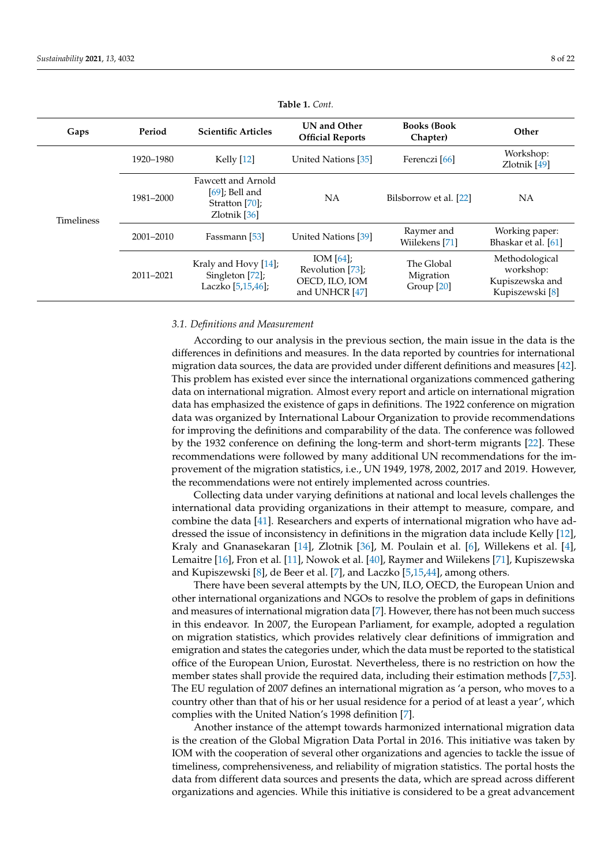<span id="page-7-0"></span>

| Gaps              | Period    | <b>Scientific Articles</b>                                                  | <b>UN and Other</b><br><b>Official Reports</b>                       | <b>Books (Book)</b><br>Chapter)                  | Other                                                             |
|-------------------|-----------|-----------------------------------------------------------------------------|----------------------------------------------------------------------|--------------------------------------------------|-------------------------------------------------------------------|
|                   | 1920–1980 | Kelly [12]                                                                  | United Nations [35]                                                  | Ferenczi [66]                                    | Workshop:<br>Zlotnik [49]                                         |
| <b>Timeliness</b> | 1981-2000 | Fawcett and Arnold<br>$[69]$ ; Bell and<br>Stratton [70];<br>Zlotnik $[36]$ | NA                                                                   | Bilsborrow et al. [22]                           | NА                                                                |
|                   | 2001-2010 | Fassmann [53]                                                               | United Nations [39]                                                  | Raymer and<br>Wiilekens [71]                     | Working paper:<br>Bhaskar et al. [61]                             |
|                   | 2011-2021 | Kraly and Hovy [14];<br>Singleton [72];<br>Laczko [5,15,46];                | IOM $[64]$ ;<br>Revolution [73];<br>OECD, ILO, IOM<br>and UNHCR [47] | The Global<br>Migration<br>Group <sup>[20]</sup> | Methodological<br>workshop:<br>Kupiszewska and<br>Kupiszewski [8] |

| Table 1. Cont. |  |  |
|----------------|--|--|
|                |  |  |

# *3.1. Definitions and Measurement*

According to our analysis in the previous section, the main issue in the data is the differences in definitions and measures. In the data reported by countries for international migration data sources, the data are provided under different definitions and measures [\[42\]](#page-19-27). This problem has existed ever since the international organizations commenced gathering data on international migration. Almost every report and article on international migration data has emphasized the existence of gaps in definitions. The 1922 conference on migration data was organized by International Labour Organization to provide recommendations for improving the definitions and comparability of the data. The conference was followed by the 1932 conference on defining the long-term and short-term migrants [\[22\]](#page-19-6). These recommendations were followed by many additional UN recommendations for the improvement of the migration statistics, i.e., UN 1949, 1978, 2002, 2017 and 2019. However, the recommendations were not entirely implemented across countries.

Collecting data under varying definitions at national and local levels challenges the international data providing organizations in their attempt to measure, compare, and combine the data [\[41\]](#page-19-26). Researchers and experts of international migration who have addressed the issue of inconsistency in definitions in the migration data include Kelly [\[12\]](#page-19-19), Kraly and Gnanasekaran [\[14\]](#page-19-5), Zlotnik [\[36\]](#page-19-20), M. Poulain et al. [\[6\]](#page-18-5), Willekens et al. [\[4\]](#page-18-3), Lemaitre [\[16\]](#page-19-1), Fron et al. [\[11\]](#page-19-22), Nowok et al. [\[40\]](#page-19-25), Raymer and Wiilekens [\[71\]](#page-20-27), Kupiszewska and Kupiszewski [\[8\]](#page-18-7), de Beer et al. [\[7\]](#page-18-6), and Laczko [\[5](#page-18-4)[,15,](#page-19-29)[44\]](#page-20-0), among others.

There have been several attempts by the UN, ILO, OECD, the European Union and other international organizations and NGOs to resolve the problem of gaps in definitions and measures of international migration data [\[7\]](#page-18-6). However, there has not been much success in this endeavor. In 2007, the European Parliament, for example, adopted a regulation on migration statistics, which provides relatively clear definitions of immigration and emigration and states the categories under, which the data must be reported to the statistical office of the European Union, Eurostat. Nevertheless, there is no restriction on how the member states shall provide the required data, including their estimation methods [\[7](#page-18-6)[,53\]](#page-20-9). The EU regulation of 2007 defines an international migration as 'a person, who moves to a country other than that of his or her usual residence for a period of at least a year', which complies with the United Nation's 1998 definition [\[7\]](#page-18-6).

Another instance of the attempt towards harmonized international migration data is the creation of the Global Migration Data Portal in 2016. This initiative was taken by IOM with the cooperation of several other organizations and agencies to tackle the issue of timeliness, comprehensiveness, and reliability of migration statistics. The portal hosts the data from different data sources and presents the data, which are spread across different organizations and agencies. While this initiative is considered to be a great advancement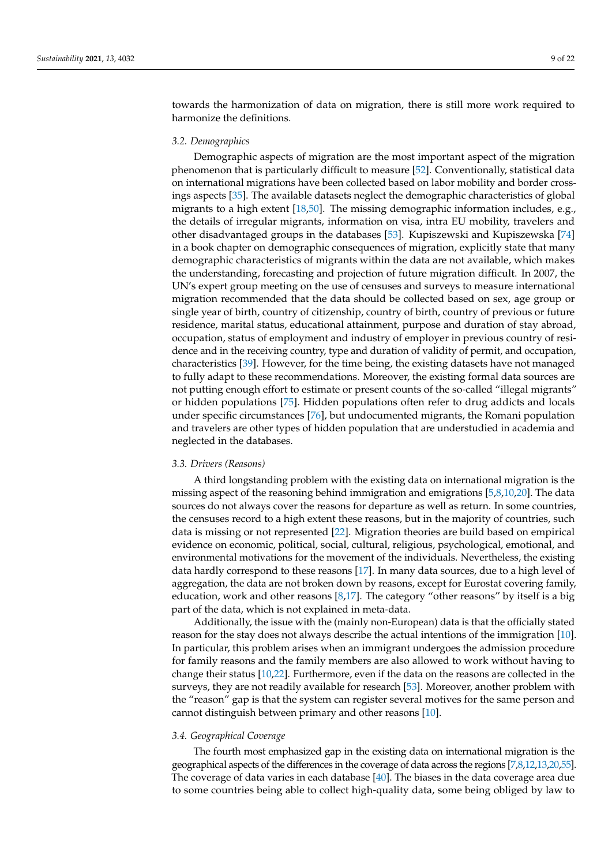towards the harmonization of data on migration, there is still more work required to harmonize the definitions.

# *3.2. Demographics*

Demographic aspects of migration are the most important aspect of the migration phenomenon that is particularly difficult to measure [\[52\]](#page-20-8). Conventionally, statistical data on international migrations have been collected based on labor mobility and border crossings aspects [\[35\]](#page-19-18). The available datasets neglect the demographic characteristics of global migrants to a high extent [\[18](#page-19-30)[,50\]](#page-20-6). The missing demographic information includes, e.g., the details of irregular migrants, information on visa, intra EU mobility, travelers and other disadvantaged groups in the databases [\[53\]](#page-20-9). Kupiszewski and Kupiszewska [\[74\]](#page-20-30) in a book chapter on demographic consequences of migration, explicitly state that many demographic characteristics of migrants within the data are not available, which makes the understanding, forecasting and projection of future migration difficult. In 2007, the UN's expert group meeting on the use of censuses and surveys to measure international migration recommended that the data should be collected based on sex, age group or single year of birth, country of citizenship, country of birth, country of previous or future residence, marital status, educational attainment, purpose and duration of stay abroad, occupation, status of employment and industry of employer in previous country of residence and in the receiving country, type and duration of validity of permit, and occupation, characteristics [\[39\]](#page-19-24). However, for the time being, the existing datasets have not managed to fully adapt to these recommendations. Moreover, the existing formal data sources are not putting enough effort to estimate or present counts of the so-called "illegal migrants" or hidden populations [\[75\]](#page-20-31). Hidden populations often refer to drug addicts and locals under specific circumstances [\[76\]](#page-20-32), but undocumented migrants, the Romani population and travelers are other types of hidden population that are understudied in academia and neglected in the databases.

#### *3.3. Drivers (Reasons)*

A third longstanding problem with the existing data on international migration is the missing aspect of the reasoning behind immigration and emigrations [\[5](#page-18-4)[,8](#page-18-7)[,10,](#page-18-9)[20\]](#page-19-2). The data sources do not always cover the reasons for departure as well as return. In some countries, the censuses record to a high extent these reasons, but in the majority of countries, such data is missing or not represented [\[22\]](#page-19-6). Migration theories are build based on empirical evidence on economic, political, social, cultural, religious, psychological, emotional, and environmental motivations for the movement of the individuals. Nevertheless, the existing data hardly correspond to these reasons [\[17\]](#page-19-31). In many data sources, due to a high level of aggregation, the data are not broken down by reasons, except for Eurostat covering family, education, work and other reasons [\[8,](#page-18-7)[17\]](#page-19-31). The category "other reasons" by itself is a big part of the data, which is not explained in meta-data.

Additionally, the issue with the (mainly non-European) data is that the officially stated reason for the stay does not always describe the actual intentions of the immigration [\[10\]](#page-18-9). In particular, this problem arises when an immigrant undergoes the admission procedure for family reasons and the family members are also allowed to work without having to change their status [\[10,](#page-18-9)[22\]](#page-19-6). Furthermore, even if the data on the reasons are collected in the surveys, they are not readily available for research [\[53\]](#page-20-9). Moreover, another problem with the "reason" gap is that the system can register several motives for the same person and cannot distinguish between primary and other reasons [\[10\]](#page-18-9).

# *3.4. Geographical Coverage*

The fourth most emphasized gap in the existing data on international migration is the geographical aspects of the differences in the coverage of data across the regions [\[7,](#page-18-6)[8,](#page-18-7)[12,](#page-19-19)[13](#page-19-4)[,20](#page-19-2)[,55\]](#page-20-11). The coverage of data varies in each database  $[40]$ . The biases in the data coverage area due to some countries being able to collect high-quality data, some being obliged by law to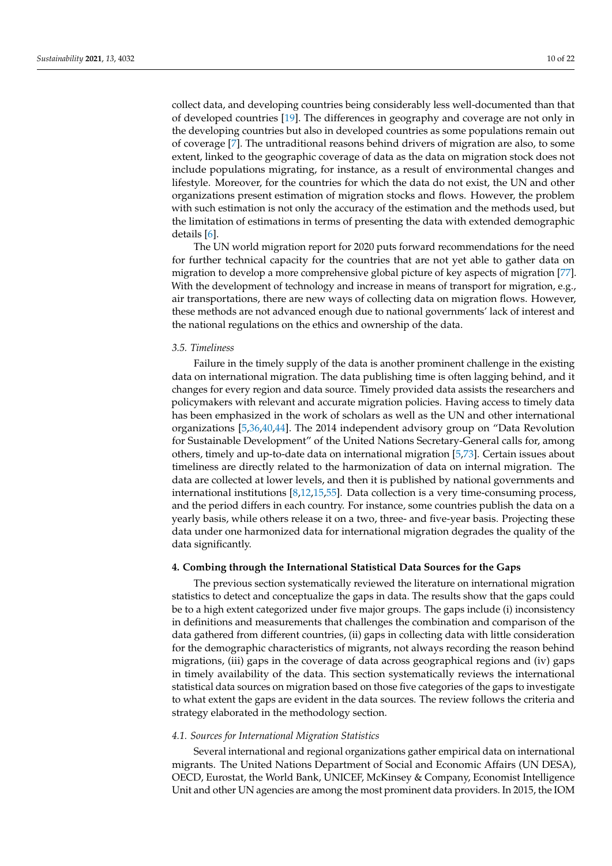collect data, and developing countries being considerably less well-documented than that of developed countries [\[19\]](#page-19-0). The differences in geography and coverage are not only in the developing countries but also in developed countries as some populations remain out of coverage [\[7\]](#page-18-6). The untraditional reasons behind drivers of migration are also, to some extent, linked to the geographic coverage of data as the data on migration stock does not include populations migrating, for instance, as a result of environmental changes and lifestyle. Moreover, for the countries for which the data do not exist, the UN and other organizations present estimation of migration stocks and flows. However, the problem

details [\[6\]](#page-18-5). The UN world migration report for 2020 puts forward recommendations for the need for further technical capacity for the countries that are not yet able to gather data on migration to develop a more comprehensive global picture of key aspects of migration [\[77\]](#page-20-33). With the development of technology and increase in means of transport for migration, e.g., air transportations, there are new ways of collecting data on migration flows. However, these methods are not advanced enough due to national governments' lack of interest and the national regulations on the ethics and ownership of the data.

with such estimation is not only the accuracy of the estimation and the methods used, but the limitation of estimations in terms of presenting the data with extended demographic

#### *3.5. Timeliness*

Failure in the timely supply of the data is another prominent challenge in the existing data on international migration. The data publishing time is often lagging behind, and it changes for every region and data source. Timely provided data assists the researchers and policymakers with relevant and accurate migration policies. Having access to timely data has been emphasized in the work of scholars as well as the UN and other international organizations [\[5,](#page-18-4)[36,](#page-19-20)[40,](#page-19-25)[44\]](#page-20-0). The 2014 independent advisory group on "Data Revolution for Sustainable Development" of the United Nations Secretary-General calls for, among others, timely and up-to-date data on international migration [\[5](#page-18-4)[,73\]](#page-20-29). Certain issues about timeliness are directly related to the harmonization of data on internal migration. The data are collected at lower levels, and then it is published by national governments and international institutions [\[8,](#page-18-7)[12](#page-19-19)[,15,](#page-19-29)[55\]](#page-20-11). Data collection is a very time-consuming process, and the period differs in each country. For instance, some countries publish the data on a yearly basis, while others release it on a two, three- and five-year basis. Projecting these data under one harmonized data for international migration degrades the quality of the data significantly.

# **4. Combing through the International Statistical Data Sources for the Gaps**

The previous section systematically reviewed the literature on international migration statistics to detect and conceptualize the gaps in data. The results show that the gaps could be to a high extent categorized under five major groups. The gaps include (i) inconsistency in definitions and measurements that challenges the combination and comparison of the data gathered from different countries, (ii) gaps in collecting data with little consideration for the demographic characteristics of migrants, not always recording the reason behind migrations, (iii) gaps in the coverage of data across geographical regions and (iv) gaps in timely availability of the data. This section systematically reviews the international statistical data sources on migration based on those five categories of the gaps to investigate to what extent the gaps are evident in the data sources. The review follows the criteria and strategy elaborated in the methodology section.

# *4.1. Sources for International Migration Statistics*

Several international and regional organizations gather empirical data on international migrants. The United Nations Department of Social and Economic Affairs (UN DESA), OECD, Eurostat, the World Bank, UNICEF, McKinsey & Company, Economist Intelligence Unit and other UN agencies are among the most prominent data providers. In 2015, the IOM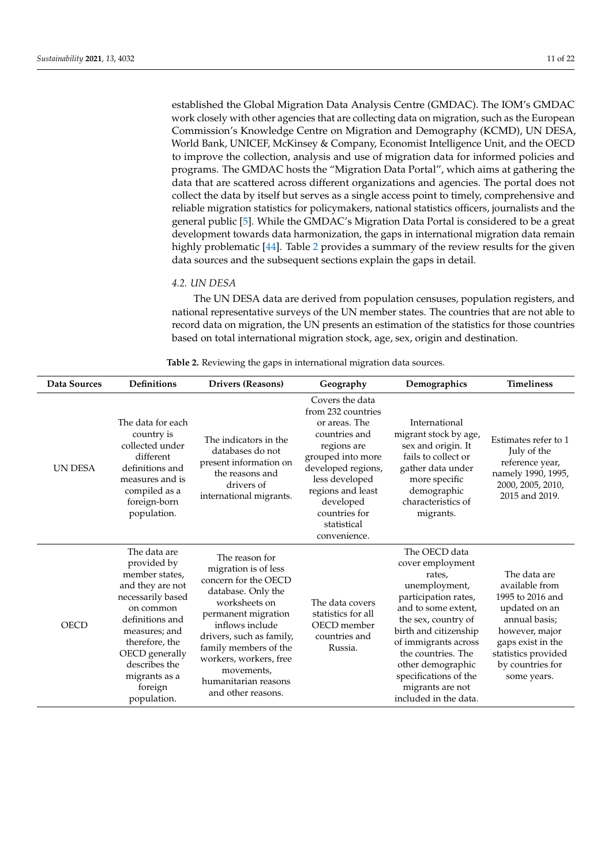established the Global Migration Data Analysis Centre (GMDAC). The IOM's GMDAC work closely with other agencies that are collecting data on migration, such as the European Commission's Knowledge Centre on Migration and Demography (KCMD), UN DESA, World Bank, UNICEF, McKinsey & Company, Economist Intelligence Unit, and the OECD to improve the collection, analysis and use of migration data for informed policies and programs. The GMDAC hosts the "Migration Data Portal", which aims at gathering the data that are scattered across different organizations and agencies. The portal does not collect the data by itself but serves as a single access point to timely, comprehensive and reliable migration statistics for policymakers, national statistics officers, journalists and the general public [\[5\]](#page-18-4). While the GMDAC's Migration Data Portal is considered to be a great development towards data harmonization, the gaps in international migration data remain highly problematic [\[44\]](#page-20-0). Table [2](#page-11-0) provides a summary of the review results for the given data sources and the subsequent sections explain the gaps in detail.

# *4.2. UN DESA*

The UN DESA data are derived from population censuses, population registers, and national representative surveys of the UN member states. The countries that are not able to record data on migration, the UN presents an estimation of the statistics for those countries based on total international migration stock, age, sex, origin and destination.

| Table 2. Reviewing the gaps in international migration data sources. |  |  |  |  |
|----------------------------------------------------------------------|--|--|--|--|
|----------------------------------------------------------------------|--|--|--|--|

| <b>Data Sources</b> | <b>Definitions</b>                                                                                                                                                                                                                      | <b>Drivers (Reasons)</b>                                                                                                                                                                                                                                                                   | Geography                                                                                                                                                                                                                             | Demographics                                                                                                                                                                                                                                                                                         | <b>Timeliness</b>                                                                                                                                                                     |
|---------------------|-----------------------------------------------------------------------------------------------------------------------------------------------------------------------------------------------------------------------------------------|--------------------------------------------------------------------------------------------------------------------------------------------------------------------------------------------------------------------------------------------------------------------------------------------|---------------------------------------------------------------------------------------------------------------------------------------------------------------------------------------------------------------------------------------|------------------------------------------------------------------------------------------------------------------------------------------------------------------------------------------------------------------------------------------------------------------------------------------------------|---------------------------------------------------------------------------------------------------------------------------------------------------------------------------------------|
| <b>UN DESA</b>      | The data for each<br>country is<br>collected under<br>different<br>definitions and<br>measures and is<br>compiled as a<br>foreign-born<br>population.                                                                                   | The indicators in the<br>databases do not<br>present information on<br>the reasons and<br>drivers of<br>international migrants.                                                                                                                                                            | Covers the data<br>from 232 countries<br>or areas. The<br>countries and<br>regions are<br>grouped into more<br>developed regions,<br>less developed<br>regions and least<br>developed<br>countries for<br>statistical<br>convenience. | International<br>migrant stock by age,<br>sex and origin. It<br>fails to collect or<br>gather data under<br>more specific<br>demographic<br>characteristics of<br>migrants.                                                                                                                          | Estimates refer to 1<br>July of the<br>reference year,<br>namely 1990, 1995,<br>2000, 2005, 2010,<br>2015 and 2019.                                                                   |
| <b>OECD</b>         | The data are<br>provided by<br>member states,<br>and they are not<br>necessarily based<br>on common<br>definitions and<br>measures; and<br>therefore, the<br>OECD generally<br>describes the<br>migrants as a<br>foreign<br>population. | The reason for<br>migration is of less<br>concern for the OECD<br>database. Only the<br>worksheets on<br>permanent migration<br>inflows include<br>drivers, such as family,<br>family members of the<br>workers, workers, free<br>movements,<br>humanitarian reasons<br>and other reasons. | The data covers<br>statistics for all<br>OECD member<br>countries and<br>Russia.                                                                                                                                                      | The OECD data<br>cover employment<br>rates,<br>unemployment,<br>participation rates,<br>and to some extent,<br>the sex, country of<br>birth and citizenship<br>of immigrants across<br>the countries. The<br>other demographic<br>specifications of the<br>migrants are not<br>included in the data. | The data are<br>available from<br>1995 to 2016 and<br>updated on an<br>annual basis:<br>however, major<br>gaps exist in the<br>statistics provided<br>by countries for<br>some years. |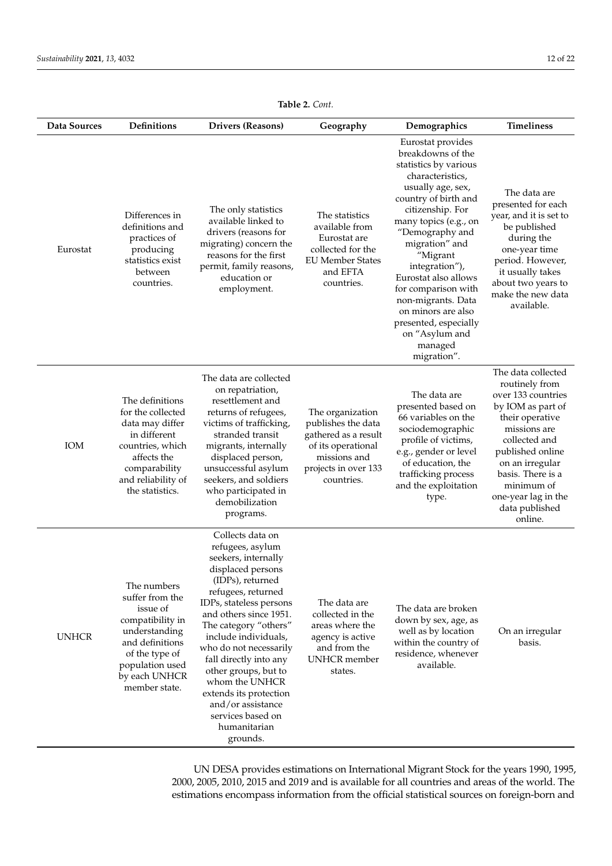<span id="page-11-0"></span>

| Data Sources | <b>Definitions</b>                                                                                                                                                        | <b>Drivers (Reasons)</b>                                                                                                                                                                                                                                                                                                                                                                                                       | Geography                                                                                                                                  | Demographics                                                                                                                                                                                                                                                                                                                                                                                                     | <b>Timeliness</b>                                                                                                                                                                                                                                                 |
|--------------|---------------------------------------------------------------------------------------------------------------------------------------------------------------------------|--------------------------------------------------------------------------------------------------------------------------------------------------------------------------------------------------------------------------------------------------------------------------------------------------------------------------------------------------------------------------------------------------------------------------------|--------------------------------------------------------------------------------------------------------------------------------------------|------------------------------------------------------------------------------------------------------------------------------------------------------------------------------------------------------------------------------------------------------------------------------------------------------------------------------------------------------------------------------------------------------------------|-------------------------------------------------------------------------------------------------------------------------------------------------------------------------------------------------------------------------------------------------------------------|
| Eurostat     | Differences in<br>definitions and<br>practices of<br>producing<br>statistics exist<br>between<br>countries.                                                               | The only statistics<br>available linked to<br>drivers (reasons for<br>migrating) concern the<br>reasons for the first<br>permit, family reasons,<br>education or<br>employment.                                                                                                                                                                                                                                                | The statistics<br>available from<br>Eurostat are<br>collected for the<br><b>EU Member States</b><br>and EFTA<br>countries.                 | Eurostat provides<br>breakdowns of the<br>statistics by various<br>characteristics,<br>usually age, sex,<br>country of birth and<br>citizenship. For<br>many topics (e.g., on<br>"Demography and<br>migration" and<br>"Migrant<br>integration"),<br>Eurostat also allows<br>for comparison with<br>non-migrants. Data<br>on minors are also<br>presented, especially<br>on "Asylum and<br>managed<br>migration". | The data are<br>presented for each<br>year, and it is set to<br>be published<br>during the<br>one-year time<br>period. However,<br>it usually takes<br>about two years to<br>make the new data<br>available.                                                      |
| IOM          | The definitions<br>for the collected<br>data may differ<br>in different<br>countries, which<br>affects the<br>comparability<br>and reliability of<br>the statistics.      | The data are collected<br>on repatriation,<br>resettlement and<br>returns of refugees,<br>victims of trafficking,<br>stranded transit<br>migrants, internally<br>displaced person,<br>unsuccessful asylum<br>seekers, and soldiers<br>who participated in<br>demobilization<br>programs.                                                                                                                                       | The organization<br>publishes the data<br>gathered as a result<br>of its operational<br>missions and<br>projects in over 133<br>countries. | The data are<br>presented based on<br>66 variables on the<br>sociodemographic<br>profile of victims,<br>e.g., gender or level<br>of education, the<br>trafficking process<br>and the exploitation<br>type.                                                                                                                                                                                                       | The data collected<br>routinely from<br>over 133 countries<br>by IOM as part of<br>their operative<br>missions are<br>collected and<br>published online<br>on an irregular<br>basis. There is a<br>minimum of<br>one-year lag in the<br>data published<br>online. |
| <b>UNHCR</b> | The numbers<br>suffer from the<br>issue of<br>compatibility in<br>understanding<br>and definitions<br>of the type of<br>population used<br>by each UNHCR<br>member state. | Collects data on<br>refugees, asylum<br>seekers, internally<br>displaced persons<br>(IDPs), returned<br>refugees, returned<br>IDPs, stateless persons<br>and others since 1951.<br>The category "others"<br>include individuals,<br>who do not necessarily<br>fall directly into any<br>other groups, but to<br>whom the UNHCR<br>extends its protection<br>and/or assistance<br>services based on<br>humanitarian<br>grounds. | The data are<br>collected in the<br>areas where the<br>agency is active<br>and from the<br><b>UNHCR</b> member<br>states.                  | The data are broken<br>down by sex, age, as<br>well as by location<br>within the country of<br>residence, whenever<br>available.                                                                                                                                                                                                                                                                                 | On an irregular<br>basis.                                                                                                                                                                                                                                         |

**Table 2.** *Cont.*

UN DESA provides estimations on International Migrant Stock for the years 1990, 1995, 2000, 2005, 2010, 2015 and 2019 and is available for all countries and areas of the world. The estimations encompass information from the official statistical sources on foreign-born and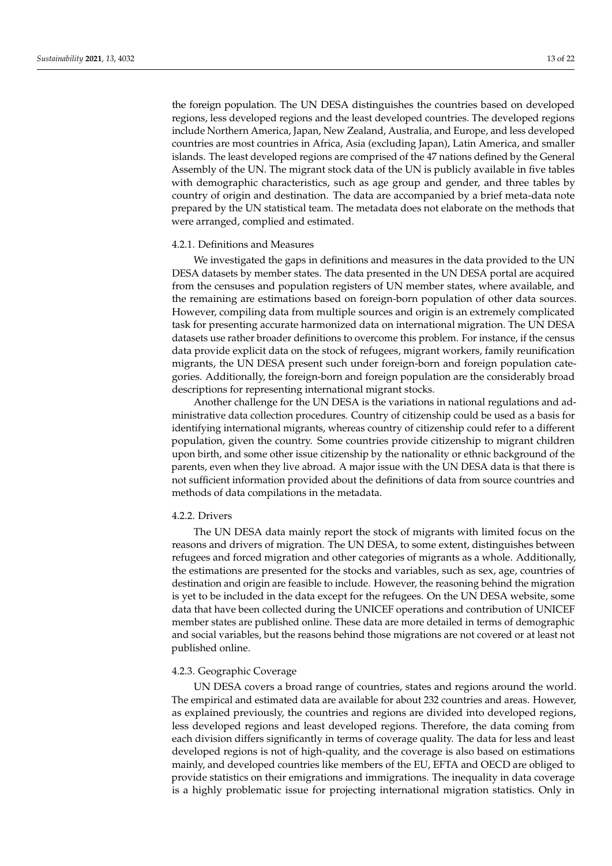the foreign population. The UN DESA distinguishes the countries based on developed regions, less developed regions and the least developed countries. The developed regions include Northern America, Japan, New Zealand, Australia, and Europe, and less developed countries are most countries in Africa, Asia (excluding Japan), Latin America, and smaller islands. The least developed regions are comprised of the 47 nations defined by the General Assembly of the UN. The migrant stock data of the UN is publicly available in five tables with demographic characteristics, such as age group and gender, and three tables by country of origin and destination. The data are accompanied by a brief meta-data note prepared by the UN statistical team. The metadata does not elaborate on the methods that were arranged, complied and estimated.

#### 4.2.1. Definitions and Measures

We investigated the gaps in definitions and measures in the data provided to the UN DESA datasets by member states. The data presented in the UN DESA portal are acquired from the censuses and population registers of UN member states, where available, and the remaining are estimations based on foreign-born population of other data sources. However, compiling data from multiple sources and origin is an extremely complicated task for presenting accurate harmonized data on international migration. The UN DESA datasets use rather broader definitions to overcome this problem. For instance, if the census data provide explicit data on the stock of refugees, migrant workers, family reunification migrants, the UN DESA present such under foreign-born and foreign population categories. Additionally, the foreign-born and foreign population are the considerably broad descriptions for representing international migrant stocks.

Another challenge for the UN DESA is the variations in national regulations and administrative data collection procedures. Country of citizenship could be used as a basis for identifying international migrants, whereas country of citizenship could refer to a different population, given the country. Some countries provide citizenship to migrant children upon birth, and some other issue citizenship by the nationality or ethnic background of the parents, even when they live abroad. A major issue with the UN DESA data is that there is not sufficient information provided about the definitions of data from source countries and methods of data compilations in the metadata.

#### 4.2.2. Drivers

The UN DESA data mainly report the stock of migrants with limited focus on the reasons and drivers of migration. The UN DESA, to some extent, distinguishes between refugees and forced migration and other categories of migrants as a whole. Additionally, the estimations are presented for the stocks and variables, such as sex, age, countries of destination and origin are feasible to include. However, the reasoning behind the migration is yet to be included in the data except for the refugees. On the UN DESA website, some data that have been collected during the UNICEF operations and contribution of UNICEF member states are published online. These data are more detailed in terms of demographic and social variables, but the reasons behind those migrations are not covered or at least not published online.

#### 4.2.3. Geographic Coverage

UN DESA covers a broad range of countries, states and regions around the world. The empirical and estimated data are available for about 232 countries and areas. However, as explained previously, the countries and regions are divided into developed regions, less developed regions and least developed regions. Therefore, the data coming from each division differs significantly in terms of coverage quality. The data for less and least developed regions is not of high-quality, and the coverage is also based on estimations mainly, and developed countries like members of the EU, EFTA and OECD are obliged to provide statistics on their emigrations and immigrations. The inequality in data coverage is a highly problematic issue for projecting international migration statistics. Only in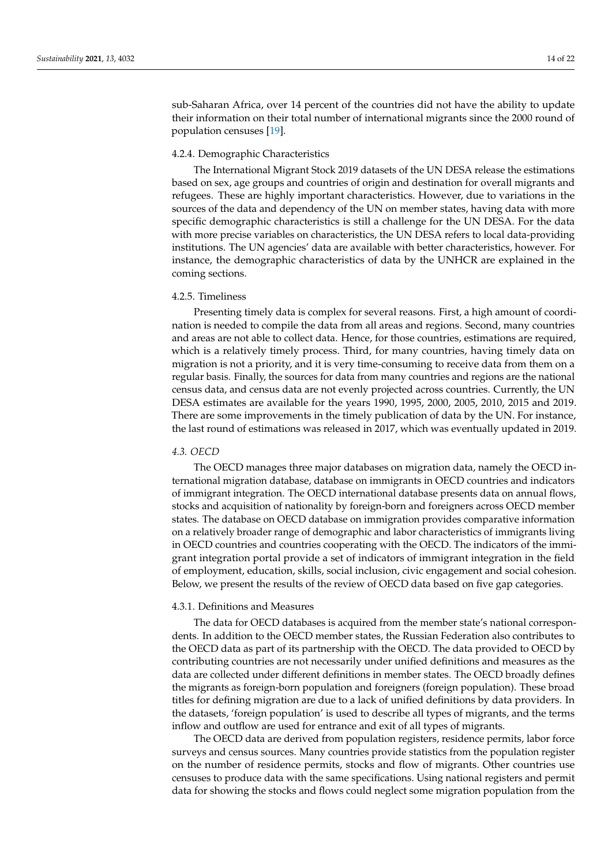sub-Saharan Africa, over 14 percent of the countries did not have the ability to update their information on their total number of international migrants since the 2000 round of population censuses [\[19\]](#page-19-0).

# 4.2.4. Demographic Characteristics

The International Migrant Stock 2019 datasets of the UN DESA release the estimations based on sex, age groups and countries of origin and destination for overall migrants and refugees. These are highly important characteristics. However, due to variations in the sources of the data and dependency of the UN on member states, having data with more specific demographic characteristics is still a challenge for the UN DESA. For the data with more precise variables on characteristics, the UN DESA refers to local data-providing institutions. The UN agencies' data are available with better characteristics, however. For instance, the demographic characteristics of data by the UNHCR are explained in the coming sections.

### 4.2.5. Timeliness

Presenting timely data is complex for several reasons. First, a high amount of coordination is needed to compile the data from all areas and regions. Second, many countries and areas are not able to collect data. Hence, for those countries, estimations are required, which is a relatively timely process. Third, for many countries, having timely data on migration is not a priority, and it is very time-consuming to receive data from them on a regular basis. Finally, the sources for data from many countries and regions are the national census data, and census data are not evenly projected across countries. Currently, the UN DESA estimates are available for the years 1990, 1995, 2000, 2005, 2010, 2015 and 2019. There are some improvements in the timely publication of data by the UN. For instance, the last round of estimations was released in 2017, which was eventually updated in 2019.

# *4.3. OECD*

The OECD manages three major databases on migration data, namely the OECD international migration database, database on immigrants in OECD countries and indicators of immigrant integration. The OECD international database presents data on annual flows, stocks and acquisition of nationality by foreign-born and foreigners across OECD member states. The database on OECD database on immigration provides comparative information on a relatively broader range of demographic and labor characteristics of immigrants living in OECD countries and countries cooperating with the OECD. The indicators of the immigrant integration portal provide a set of indicators of immigrant integration in the field of employment, education, skills, social inclusion, civic engagement and social cohesion. Below, we present the results of the review of OECD data based on five gap categories.

## 4.3.1. Definitions and Measures

The data for OECD databases is acquired from the member state's national correspondents. In addition to the OECD member states, the Russian Federation also contributes to the OECD data as part of its partnership with the OECD. The data provided to OECD by contributing countries are not necessarily under unified definitions and measures as the data are collected under different definitions in member states. The OECD broadly defines the migrants as foreign-born population and foreigners (foreign population). These broad titles for defining migration are due to a lack of unified definitions by data providers. In the datasets, 'foreign population' is used to describe all types of migrants, and the terms inflow and outflow are used for entrance and exit of all types of migrants.

The OECD data are derived from population registers, residence permits, labor force surveys and census sources. Many countries provide statistics from the population register on the number of residence permits, stocks and flow of migrants. Other countries use censuses to produce data with the same specifications. Using national registers and permit data for showing the stocks and flows could neglect some migration population from the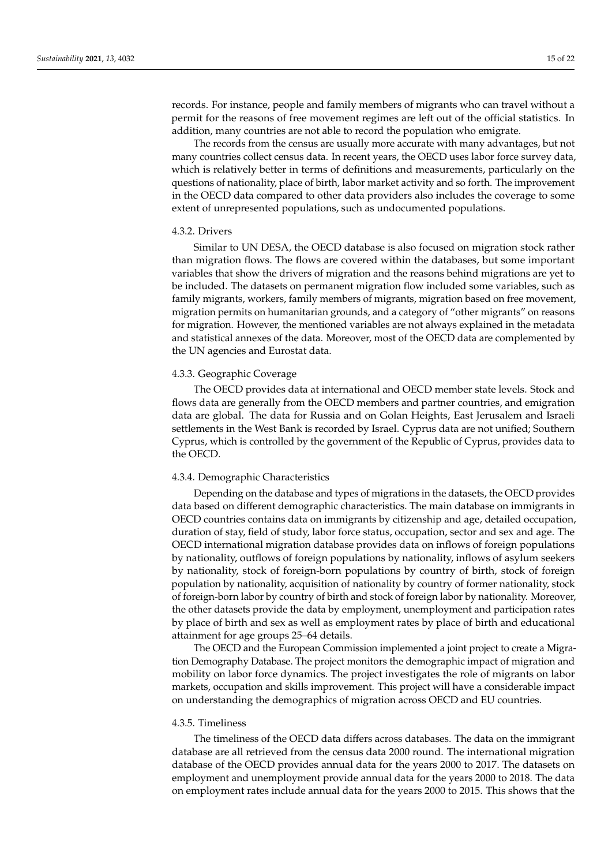records. For instance, people and family members of migrants who can travel without a permit for the reasons of free movement regimes are left out of the official statistics. In addition, many countries are not able to record the population who emigrate.

The records from the census are usually more accurate with many advantages, but not many countries collect census data. In recent years, the OECD uses labor force survey data, which is relatively better in terms of definitions and measurements, particularly on the questions of nationality, place of birth, labor market activity and so forth. The improvement in the OECD data compared to other data providers also includes the coverage to some extent of unrepresented populations, such as undocumented populations.

# 4.3.2. Drivers

Similar to UN DESA, the OECD database is also focused on migration stock rather than migration flows. The flows are covered within the databases, but some important variables that show the drivers of migration and the reasons behind migrations are yet to be included. The datasets on permanent migration flow included some variables, such as family migrants, workers, family members of migrants, migration based on free movement, migration permits on humanitarian grounds, and a category of "other migrants" on reasons for migration. However, the mentioned variables are not always explained in the metadata and statistical annexes of the data. Moreover, most of the OECD data are complemented by the UN agencies and Eurostat data.

#### 4.3.3. Geographic Coverage

The OECD provides data at international and OECD member state levels. Stock and flows data are generally from the OECD members and partner countries, and emigration data are global. The data for Russia and on Golan Heights, East Jerusalem and Israeli settlements in the West Bank is recorded by Israel. Cyprus data are not unified; Southern Cyprus, which is controlled by the government of the Republic of Cyprus, provides data to the OECD.

# 4.3.4. Demographic Characteristics

Depending on the database and types of migrations in the datasets, the OECD provides data based on different demographic characteristics. The main database on immigrants in OECD countries contains data on immigrants by citizenship and age, detailed occupation, duration of stay, field of study, labor force status, occupation, sector and sex and age. The OECD international migration database provides data on inflows of foreign populations by nationality, outflows of foreign populations by nationality, inflows of asylum seekers by nationality, stock of foreign-born populations by country of birth, stock of foreign population by nationality, acquisition of nationality by country of former nationality, stock of foreign-born labor by country of birth and stock of foreign labor by nationality. Moreover, the other datasets provide the data by employment, unemployment and participation rates by place of birth and sex as well as employment rates by place of birth and educational attainment for age groups 25–64 details.

The OECD and the European Commission implemented a joint project to create a Migration Demography Database. The project monitors the demographic impact of migration and mobility on labor force dynamics. The project investigates the role of migrants on labor markets, occupation and skills improvement. This project will have a considerable impact on understanding the demographics of migration across OECD and EU countries.

#### 4.3.5. Timeliness

The timeliness of the OECD data differs across databases. The data on the immigrant database are all retrieved from the census data 2000 round. The international migration database of the OECD provides annual data for the years 2000 to 2017. The datasets on employment and unemployment provide annual data for the years 2000 to 2018. The data on employment rates include annual data for the years 2000 to 2015. This shows that the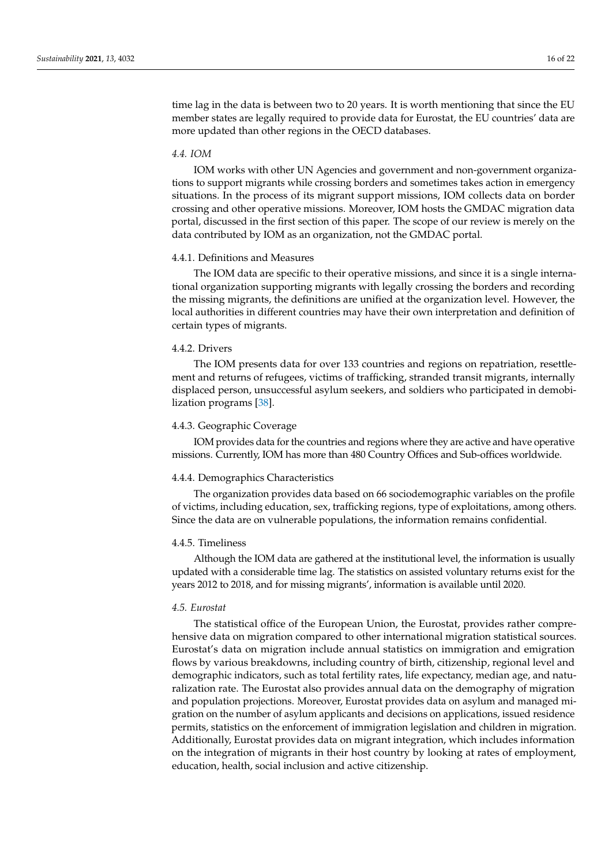time lag in the data is between two to 20 years. It is worth mentioning that since the EU member states are legally required to provide data for Eurostat, the EU countries' data are more updated than other regions in the OECD databases.

# *4.4. IOM*

IOM works with other UN Agencies and government and non-government organizations to support migrants while crossing borders and sometimes takes action in emergency situations. In the process of its migrant support missions, IOM collects data on border crossing and other operative missions. Moreover, IOM hosts the GMDAC migration data portal, discussed in the first section of this paper. The scope of our review is merely on the data contributed by IOM as an organization, not the GMDAC portal.

# 4.4.1. Definitions and Measures

The IOM data are specific to their operative missions, and since it is a single international organization supporting migrants with legally crossing the borders and recording the missing migrants, the definitions are unified at the organization level. However, the local authorities in different countries may have their own interpretation and definition of certain types of migrants.

#### 4.4.2. Drivers

The IOM presents data for over 133 countries and regions on repatriation, resettlement and returns of refugees, victims of trafficking, stranded transit migrants, internally displaced person, unsuccessful asylum seekers, and soldiers who participated in demobilization programs [\[38\]](#page-19-23).

#### 4.4.3. Geographic Coverage

IOM provides data for the countries and regions where they are active and have operative missions. Currently, IOM has more than 480 Country Offices and Sub-offices worldwide.

#### 4.4.4. Demographics Characteristics

The organization provides data based on 66 sociodemographic variables on the profile of victims, including education, sex, trafficking regions, type of exploitations, among others. Since the data are on vulnerable populations, the information remains confidential.

#### 4.4.5. Timeliness

Although the IOM data are gathered at the institutional level, the information is usually updated with a considerable time lag. The statistics on assisted voluntary returns exist for the years 2012 to 2018, and for missing migrants', information is available until 2020.

#### *4.5. Eurostat*

The statistical office of the European Union, the Eurostat, provides rather comprehensive data on migration compared to other international migration statistical sources. Eurostat's data on migration include annual statistics on immigration and emigration flows by various breakdowns, including country of birth, citizenship, regional level and demographic indicators, such as total fertility rates, life expectancy, median age, and naturalization rate. The Eurostat also provides annual data on the demography of migration and population projections. Moreover, Eurostat provides data on asylum and managed migration on the number of asylum applicants and decisions on applications, issued residence permits, statistics on the enforcement of immigration legislation and children in migration. Additionally, Eurostat provides data on migrant integration, which includes information on the integration of migrants in their host country by looking at rates of employment, education, health, social inclusion and active citizenship.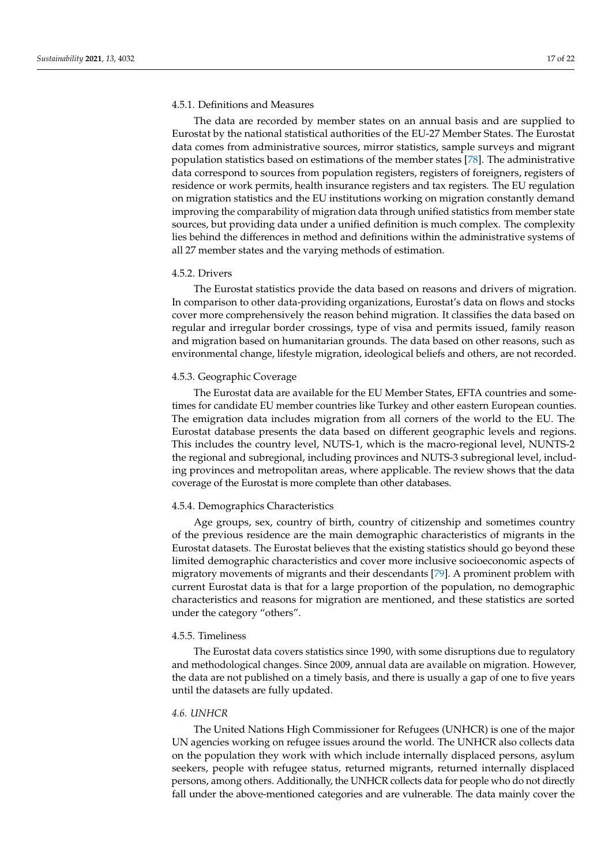#### 4.5.1. Definitions and Measures

The data are recorded by member states on an annual basis and are supplied to Eurostat by the national statistical authorities of the EU-27 Member States. The Eurostat data comes from administrative sources, mirror statistics, sample surveys and migrant population statistics based on estimations of the member states [\[78\]](#page-21-0). The administrative data correspond to sources from population registers, registers of foreigners, registers of residence or work permits, health insurance registers and tax registers. The EU regulation on migration statistics and the EU institutions working on migration constantly demand improving the comparability of migration data through unified statistics from member state sources, but providing data under a unified definition is much complex. The complexity lies behind the differences in method and definitions within the administrative systems of all 27 member states and the varying methods of estimation.

#### 4.5.2. Drivers

The Eurostat statistics provide the data based on reasons and drivers of migration. In comparison to other data-providing organizations, Eurostat's data on flows and stocks cover more comprehensively the reason behind migration. It classifies the data based on regular and irregular border crossings, type of visa and permits issued, family reason and migration based on humanitarian grounds. The data based on other reasons, such as environmental change, lifestyle migration, ideological beliefs and others, are not recorded.

## 4.5.3. Geographic Coverage

The Eurostat data are available for the EU Member States, EFTA countries and sometimes for candidate EU member countries like Turkey and other eastern European counties. The emigration data includes migration from all corners of the world to the EU. The Eurostat database presents the data based on different geographic levels and regions. This includes the country level, NUTS-1, which is the macro-regional level, NUNTS-2 the regional and subregional, including provinces and NUTS-3 subregional level, including provinces and metropolitan areas, where applicable. The review shows that the data coverage of the Eurostat is more complete than other databases.

#### 4.5.4. Demographics Characteristics

Age groups, sex, country of birth, country of citizenship and sometimes country of the previous residence are the main demographic characteristics of migrants in the Eurostat datasets. The Eurostat believes that the existing statistics should go beyond these limited demographic characteristics and cover more inclusive socioeconomic aspects of migratory movements of migrants and their descendants [\[79\]](#page-21-1). A prominent problem with current Eurostat data is that for a large proportion of the population, no demographic characteristics and reasons for migration are mentioned, and these statistics are sorted under the category "others".

## 4.5.5. Timeliness

The Eurostat data covers statistics since 1990, with some disruptions due to regulatory and methodological changes. Since 2009, annual data are available on migration. However, the data are not published on a timely basis, and there is usually a gap of one to five years until the datasets are fully updated.

# *4.6. UNHCR*

The United Nations High Commissioner for Refugees (UNHCR) is one of the major UN agencies working on refugee issues around the world. The UNHCR also collects data on the population they work with which include internally displaced persons, asylum seekers, people with refugee status, returned migrants, returned internally displaced persons, among others. Additionally, the UNHCR collects data for people who do not directly fall under the above-mentioned categories and are vulnerable. The data mainly cover the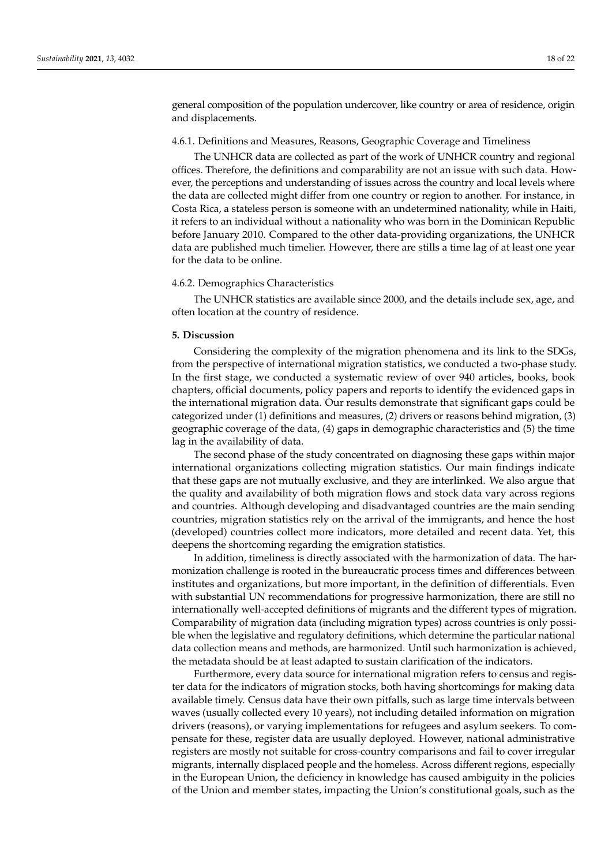general composition of the population undercover, like country or area of residence, origin and displacements.

## 4.6.1. Definitions and Measures, Reasons, Geographic Coverage and Timeliness

The UNHCR data are collected as part of the work of UNHCR country and regional offices. Therefore, the definitions and comparability are not an issue with such data. However, the perceptions and understanding of issues across the country and local levels where the data are collected might differ from one country or region to another. For instance, in Costa Rica, a stateless person is someone with an undetermined nationality, while in Haiti, it refers to an individual without a nationality who was born in the Dominican Republic before January 2010. Compared to the other data-providing organizations, the UNHCR data are published much timelier. However, there are stills a time lag of at least one year for the data to be online.

#### 4.6.2. Demographics Characteristics

The UNHCR statistics are available since 2000, and the details include sex, age, and often location at the country of residence.

## **5. Discussion**

Considering the complexity of the migration phenomena and its link to the SDGs, from the perspective of international migration statistics, we conducted a two-phase study. In the first stage, we conducted a systematic review of over 940 articles, books, book chapters, official documents, policy papers and reports to identify the evidenced gaps in the international migration data. Our results demonstrate that significant gaps could be categorized under (1) definitions and measures, (2) drivers or reasons behind migration, (3) geographic coverage of the data, (4) gaps in demographic characteristics and (5) the time lag in the availability of data.

The second phase of the study concentrated on diagnosing these gaps within major international organizations collecting migration statistics. Our main findings indicate that these gaps are not mutually exclusive, and they are interlinked. We also argue that the quality and availability of both migration flows and stock data vary across regions and countries. Although developing and disadvantaged countries are the main sending countries, migration statistics rely on the arrival of the immigrants, and hence the host (developed) countries collect more indicators, more detailed and recent data. Yet, this deepens the shortcoming regarding the emigration statistics.

In addition, timeliness is directly associated with the harmonization of data. The harmonization challenge is rooted in the bureaucratic process times and differences between institutes and organizations, but more important, in the definition of differentials. Even with substantial UN recommendations for progressive harmonization, there are still no internationally well-accepted definitions of migrants and the different types of migration. Comparability of migration data (including migration types) across countries is only possible when the legislative and regulatory definitions, which determine the particular national data collection means and methods, are harmonized. Until such harmonization is achieved, the metadata should be at least adapted to sustain clarification of the indicators.

Furthermore, every data source for international migration refers to census and register data for the indicators of migration stocks, both having shortcomings for making data available timely. Census data have their own pitfalls, such as large time intervals between waves (usually collected every 10 years), not including detailed information on migration drivers (reasons), or varying implementations for refugees and asylum seekers. To compensate for these, register data are usually deployed. However, national administrative registers are mostly not suitable for cross-country comparisons and fail to cover irregular migrants, internally displaced people and the homeless. Across different regions, especially in the European Union, the deficiency in knowledge has caused ambiguity in the policies of the Union and member states, impacting the Union's constitutional goals, such as the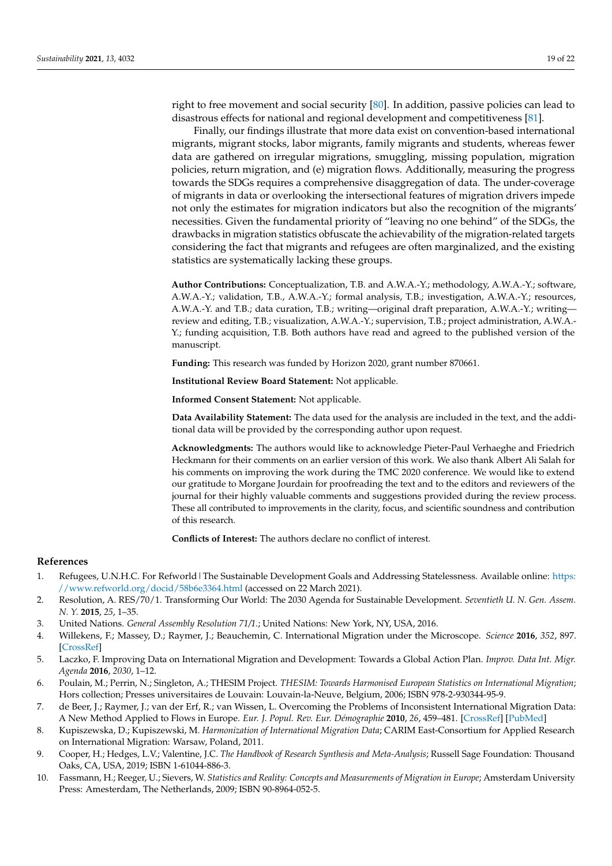right to free movement and social security [\[80\]](#page-21-2). In addition, passive policies can lead to disastrous effects for national and regional development and competitiveness [\[81\]](#page-21-3).

Finally, our findings illustrate that more data exist on convention-based international migrants, migrant stocks, labor migrants, family migrants and students, whereas fewer data are gathered on irregular migrations, smuggling, missing population, migration policies, return migration, and (e) migration flows. Additionally, measuring the progress towards the SDGs requires a comprehensive disaggregation of data. The under-coverage of migrants in data or overlooking the intersectional features of migration drivers impede not only the estimates for migration indicators but also the recognition of the migrants' necessities. Given the fundamental priority of "leaving no one behind" of the SDGs, the drawbacks in migration statistics obfuscate the achievability of the migration-related targets considering the fact that migrants and refugees are often marginalized, and the existing statistics are systematically lacking these groups.

**Author Contributions:** Conceptualization, T.B. and A.W.A.-Y.; methodology, A.W.A.-Y.; software, A.W.A.-Y.; validation, T.B., A.W.A.-Y.; formal analysis, T.B.; investigation, A.W.A.-Y.; resources, A.W.A.-Y. and T.B.; data curation, T.B.; writing—original draft preparation, A.W.A.-Y.; writing review and editing, T.B.; visualization, A.W.A.-Y.; supervision, T.B.; project administration, A.W.A.- Y.; funding acquisition, T.B. Both authors have read and agreed to the published version of the manuscript.

**Funding:** This research was funded by Horizon 2020, grant number 870661.

**Institutional Review Board Statement:** Not applicable.

**Informed Consent Statement:** Not applicable.

**Data Availability Statement:** The data used for the analysis are included in the text, and the additional data will be provided by the corresponding author upon request.

**Acknowledgments:** The authors would like to acknowledge Pieter-Paul Verhaeghe and Friedrich Heckmann for their comments on an earlier version of this work. We also thank Albert Ali Salah for his comments on improving the work during the TMC 2020 conference. We would like to extend our gratitude to Morgane Jourdain for proofreading the text and to the editors and reviewers of the journal for their highly valuable comments and suggestions provided during the review process. These all contributed to improvements in the clarity, focus, and scientific soundness and contribution of this research.

**Conflicts of Interest:** The authors declare no conflict of interest.

## **References**

- <span id="page-18-0"></span>1. Refugees, U.N.H.C. For Refworld|The Sustainable Development Goals and Addressing Statelessness. Available online: [https:](https://www.refworld.org/docid/58b6e3364.html) [//www.refworld.org/docid/58b6e3364.html](https://www.refworld.org/docid/58b6e3364.html) (accessed on 22 March 2021).
- <span id="page-18-1"></span>2. Resolution, A. RES/70/1. Transforming Our World: The 2030 Agenda for Sustainable Development. *Seventieth U. N. Gen. Assem. N. Y.* **2015**, *25*, 1–35.
- <span id="page-18-2"></span>3. United Nations. *General Assembly Resolution 71/1.*; United Nations: New York, NY, USA, 2016.
- <span id="page-18-3"></span>4. Willekens, F.; Massey, D.; Raymer, J.; Beauchemin, C. International Migration under the Microscope. *Science* **2016**, *352*, 897. [\[CrossRef\]](http://doi.org/10.1126/science.aaf6545)
- <span id="page-18-4"></span>5. Laczko, F. Improving Data on International Migration and Development: Towards a Global Action Plan. *Improv. Data Int. Migr. Agenda* **2016**, *2030*, 1–12.
- <span id="page-18-5"></span>6. Poulain, M.; Perrin, N.; Singleton, A.; THESIM Project. *THESIM: Towards Harmonised European Statistics on International Migration*; Hors collection; Presses universitaires de Louvain: Louvain-la-Neuve, Belgium, 2006; ISBN 978-2-930344-95-9.
- <span id="page-18-6"></span>7. de Beer, J.; Raymer, J.; van der Erf, R.; van Wissen, L. Overcoming the Problems of Inconsistent International Migration Data: A New Method Applied to Flows in Europe. *Eur. J. Popul. Rev. Eur. Démographie* **2010**, *26*, 459–481. [\[CrossRef\]](http://doi.org/10.1007/s10680-010-9220-z) [\[PubMed\]](http://www.ncbi.nlm.nih.gov/pubmed/21124647)
- <span id="page-18-7"></span>8. Kupiszewska, D.; Kupiszewski, M. *Harmonization of International Migration Data*; CARIM East-Consortium for Applied Research on International Migration: Warsaw, Poland, 2011.
- <span id="page-18-8"></span>9. Cooper, H.; Hedges, L.V.; Valentine, J.C. *The Handbook of Research Synthesis and Meta-Analysis*; Russell Sage Foundation: Thousand Oaks, CA, USA, 2019; ISBN 1-61044-886-3.
- <span id="page-18-9"></span>10. Fassmann, H.; Reeger, U.; Sievers, W. *Statistics and Reality: Concepts and Measurements of Migration in Europe*; Amsterdam University Press: Amesterdam, The Netherlands, 2009; ISBN 90-8964-052-5.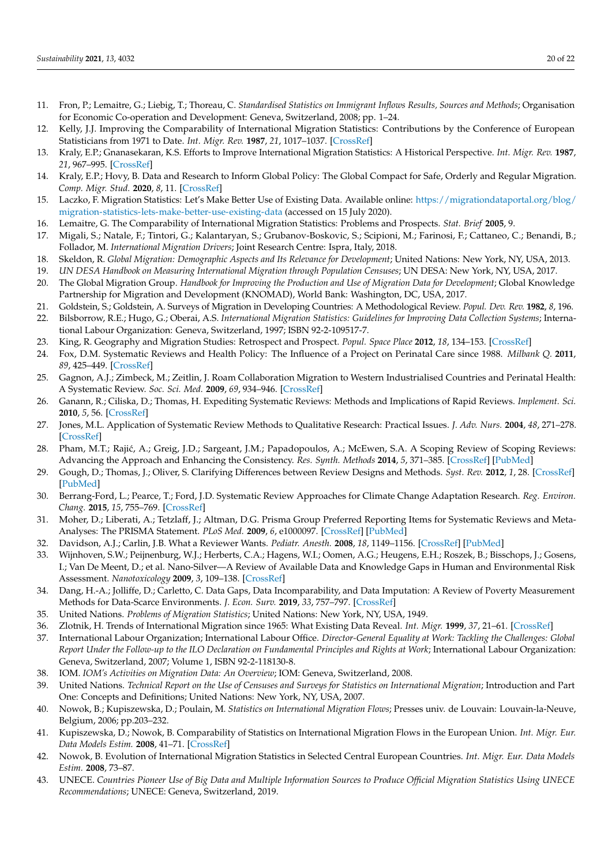- <span id="page-19-22"></span>11. Fron, P.; Lemaitre, G.; Liebig, T.; Thoreau, C. *Standardised Statistics on Immigrant Inflows Results, Sources and Methods*; Organisation for Economic Co-operation and Development: Geneva, Switzerland, 2008; pp. 1–24.
- <span id="page-19-19"></span>12. Kelly, J.J. Improving the Comparability of International Migration Statistics: Contributions by the Conference of European Statisticians from 1971 to Date. *Int. Migr. Rev.* **1987**, *21*, 1017–1037. [\[CrossRef\]](http://doi.org/10.1177/019791838702100406)
- <span id="page-19-4"></span>13. Kraly, E.P.; Gnanasekaran, K.S. Efforts to Improve International Migration Statistics: A Historical Perspective. *Int. Migr. Rev.* **1987**, *21*, 967–995. [\[CrossRef\]](http://doi.org/10.1177/019791838702100404)
- <span id="page-19-5"></span>14. Kraly, E.P.; Hovy, B. Data and Research to Inform Global Policy: The Global Compact for Safe, Orderly and Regular Migration. *Comp. Migr. Stud.* **2020**, *8*, 11. [\[CrossRef\]](http://doi.org/10.1186/s40878-019-0166-y)
- <span id="page-19-29"></span>15. Laczko, F. Migration Statistics: Let's Make Better Use of Existing Data. Available online: [https://migrationdataportal.org/blog/](https://migrationdataportal.org/blog/migration-statistics-lets-make-better-use-existing-data) [migration-statistics-lets-make-better-use-existing-data](https://migrationdataportal.org/blog/migration-statistics-lets-make-better-use-existing-data) (accessed on 15 July 2020).
- <span id="page-19-1"></span>16. Lemaitre, G. The Comparability of International Migration Statistics: Problems and Prospects. *Stat. Brief* **2005**, 9.
- <span id="page-19-31"></span>17. Migali, S.; Natale, F.; Tintori, G.; Kalantaryan, S.; Grubanov-Boskovic, S.; Scipioni, M.; Farinosi, F.; Cattaneo, C.; Benandi, B.; Follador, M. *International Migration Drivers*; Joint Research Centre: Ispra, Italy, 2018.
- <span id="page-19-30"></span>18. Skeldon, R. *Global Migration: Demographic Aspects and Its Relevance for Development*; United Nations: New York, NY, USA, 2013.
- <span id="page-19-0"></span>19. *UN DESA Handbook on Measuring International Migration through Population Censuses*; UN DESA: New York, NY, USA, 2017.
- <span id="page-19-2"></span>20. The Global Migration Group. *Handbook for Improving the Production and Use of Migration Data for Development*; Global Knowledge Partnership for Migration and Development (KNOMAD), World Bank: Washington, DC, USA, 2017.
- <span id="page-19-3"></span>21. Goldstein, S.; Goldstein, A. Surveys of Migration in Developing Countries: A Methodological Review. *Popul. Dev. Rev.* **1982**, *8*, 196.
- <span id="page-19-6"></span>22. Bilsborrow, R.E.; Hugo, G.; Oberai, A.S. *International Migration Statistics: Guidelines for Improving Data Collection Systems*; International Labour Organization: Geneva, Switzerland, 1997; ISBN 92-2-109517-7.
- <span id="page-19-7"></span>23. King, R. Geography and Migration Studies: Retrospect and Prospect. *Popul. Space Place* **2012**, *18*, 134–153. [\[CrossRef\]](http://doi.org/10.1002/psp.685)
- <span id="page-19-8"></span>24. Fox, D.M. Systematic Reviews and Health Policy: The Influence of a Project on Perinatal Care since 1988. *Milbank Q.* **2011**, *89*, 425–449. [\[CrossRef\]](http://doi.org/10.1111/j.1468-0009.2011.00635.x)
- <span id="page-19-9"></span>25. Gagnon, A.J.; Zimbeck, M.; Zeitlin, J. Roam Collaboration Migration to Western Industrialised Countries and Perinatal Health: A Systematic Review. *Soc. Sci. Med.* **2009**, *69*, 934–946. [\[CrossRef\]](http://doi.org/10.1016/j.socscimed.2009.06.027)
- <span id="page-19-15"></span>26. Ganann, R.; Ciliska, D.; Thomas, H. Expediting Systematic Reviews: Methods and Implications of Rapid Reviews. *Implement. Sci.* **2010**, *5*, 56. [\[CrossRef\]](http://doi.org/10.1186/1748-5908-5-56)
- 27. Jones, M.L. Application of Systematic Review Methods to Qualitative Research: Practical Issues. *J. Adv. Nurs.* **2004**, *48*, 271–278. [\[CrossRef\]](http://doi.org/10.1111/j.1365-2648.2004.03196.x)
- <span id="page-19-10"></span>28. Pham, M.T.; Rajić, A.; Greig, J.D.; Sargeant, J.M.; Papadopoulos, A.; McEwen, S.A. A Scoping Review of Scoping Reviews: Advancing the Approach and Enhancing the Consistency. *Res. Synth. Methods* **2014**, *5*, 371–385. [\[CrossRef\]](http://doi.org/10.1002/jrsm.1123) [\[PubMed\]](http://www.ncbi.nlm.nih.gov/pubmed/26052958)
- <span id="page-19-11"></span>29. Gough, D.; Thomas, J.; Oliver, S. Clarifying Differences between Review Designs and Methods. *Syst. Rev.* **2012**, *1*, 28. [\[CrossRef\]](http://doi.org/10.1186/2046-4053-1-28) [\[PubMed\]](http://www.ncbi.nlm.nih.gov/pubmed/22681772)
- <span id="page-19-12"></span>30. Berrang-Ford, L.; Pearce, T.; Ford, J.D. Systematic Review Approaches for Climate Change Adaptation Research. *Reg. Environ. Chang.* **2015**, *15*, 755–769. [\[CrossRef\]](http://doi.org/10.1007/s10113-014-0708-7)
- <span id="page-19-13"></span>31. Moher, D.; Liberati, A.; Tetzlaff, J.; Altman, D.G. Prisma Group Preferred Reporting Items for Systematic Reviews and Meta-Analyses: The PRISMA Statement. *PLoS Med.* **2009**, *6*, e1000097. [\[CrossRef\]](http://doi.org/10.1371/journal.pmed.1000097) [\[PubMed\]](http://www.ncbi.nlm.nih.gov/pubmed/19621072)
- <span id="page-19-14"></span>32. Davidson, A.J.; Carlin, J.B. What a Reviewer Wants. *Pediatr. Anesth.* **2008**, *18*, 1149–1156. [\[CrossRef\]](http://doi.org/10.1111/j.1460-9592.2008.02813.x) [\[PubMed\]](http://www.ncbi.nlm.nih.gov/pubmed/19076567)
- <span id="page-19-16"></span>33. Wijnhoven, S.W.; Peijnenburg, W.J.; Herberts, C.A.; Hagens, W.I.; Oomen, A.G.; Heugens, E.H.; Roszek, B.; Bisschops, J.; Gosens, I.; Van De Meent, D.; et al. Nano-Silver—A Review of Available Data and Knowledge Gaps in Human and Environmental Risk Assessment. *Nanotoxicology* **2009**, *3*, 109–138. [\[CrossRef\]](http://doi.org/10.1080/17435390902725914)
- <span id="page-19-17"></span>34. Dang, H.-A.; Jolliffe, D.; Carletto, C. Data Gaps, Data Incomparability, and Data Imputation: A Review of Poverty Measurement Methods for Data-Scarce Environments. *J. Econ. Surv.* **2019**, *33*, 757–797. [\[CrossRef\]](http://doi.org/10.1111/joes.12307)
- <span id="page-19-18"></span>35. United Nations. *Problems of Migration Statistics*; United Nations: New York, NY, USA, 1949.
- <span id="page-19-20"></span>36. Zlotnik, H. Trends of International Migration since 1965: What Existing Data Reveal. *Int. Migr.* **1999**, *37*, 21–61. [\[CrossRef\]](http://doi.org/10.1111/1468-2435.00065)
- <span id="page-19-21"></span>37. International Labour Organization; International Labour Office. *Director-General Equality at Work: Tackling the Challenges: Global Report Under the Follow-up to the ILO Declaration on Fundamental Principles and Rights at Work*; International Labour Organization: Geneva, Switzerland, 2007; Volume 1, ISBN 92-2-118130-8.
- <span id="page-19-23"></span>38. IOM. *IOM's Activities on Migration Data: An Overview*; IOM: Geneva, Switzerland, 2008.
- <span id="page-19-24"></span>39. United Nations. *Technical Report on the Use of Censuses and Surveys for Statistics on International Migration*; Introduction and Part One: Concepts and Definitions; United Nations: New York, NY, USA, 2007.
- <span id="page-19-25"></span>40. Nowok, B.; Kupiszewska, D.; Poulain, M. *Statistics on International Migration Flows*; Presses univ. de Louvain: Louvain-la-Neuve, Belgium, 2006; pp.203–232.
- <span id="page-19-26"></span>41. Kupiszewska, D.; Nowok, B. Comparability of Statistics on International Migration Flows in the European Union. *Int. Migr. Eur. Data Models Estim.* **2008**, 41–71. [\[CrossRef\]](http://doi.org/10.1002/9780470985557.ch3)
- <span id="page-19-27"></span>42. Nowok, B. Evolution of International Migration Statistics in Selected Central European Countries. *Int. Migr. Eur. Data Models Estim.* **2008**, 73–87.
- <span id="page-19-28"></span>43. UNECE. *Countries Pioneer Use of Big Data and Multiple Information Sources to Produce Official Migration Statistics Using UNECE Recommendations*; UNECE: Geneva, Switzerland, 2019.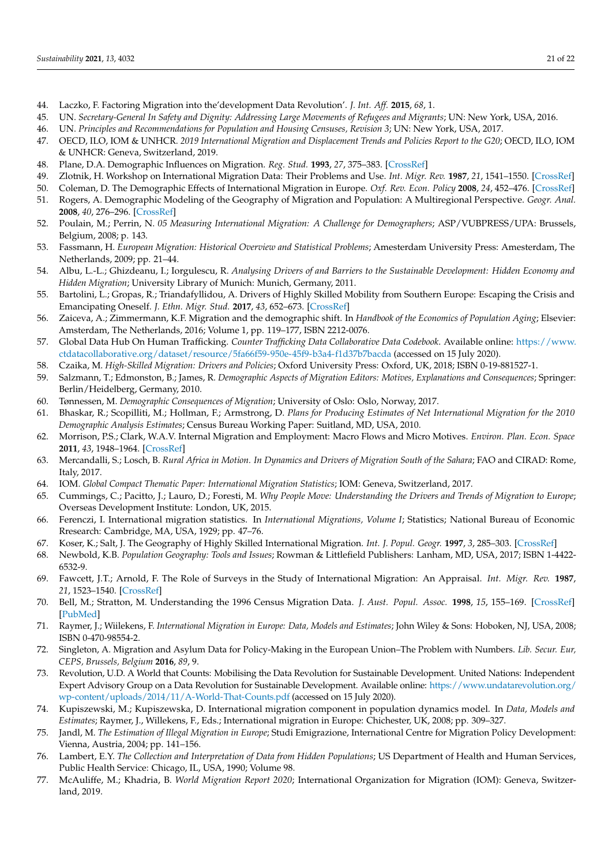- <span id="page-20-0"></span>44. Laczko, F. Factoring Migration into the'development Data Revolution'. *J. Int. Aff.* **2015**, *68*, 1.
- <span id="page-20-1"></span>45. UN. *Secretary-General In Safety and Dignity: Addressing Large Movements of Refugees and Migrants*; UN: New York, USA, 2016.
- <span id="page-20-2"></span>46. UN. *Principles and Recommendations for Population and Housing Censuses, Revision 3*; UN: New York, USA, 2017.
- <span id="page-20-3"></span>47. OECD, ILO, IOM & UNHCR. *2019 International Migration and Displacement Trends and Policies Report to the G20*; OECD, ILO, IOM & UNHCR: Geneva, Switzerland, 2019.
- <span id="page-20-4"></span>48. Plane, D.A. Demographic Influences on Migration. *Reg. Stud.* **1993**, *27*, 375–383. [\[CrossRef\]](http://doi.org/10.1080/00343409312331347635)
- <span id="page-20-5"></span>49. Zlotnik, H. Workshop on International Migration Data: Their Problems and Use. *Int. Migr. Rev.* **1987**, *21*, 1541–1550. [\[CrossRef\]](http://doi.org/10.1177/019791838702100428)
- <span id="page-20-6"></span>50. Coleman, D. The Demographic Effects of International Migration in Europe. *Oxf. Rev. Econ. Policy* **2008**, *24*, 452–476. [\[CrossRef\]](http://doi.org/10.1093/oxrep/grn027)
- <span id="page-20-7"></span>51. Rogers, A. Demographic Modeling of the Geography of Migration and Population: A Multiregional Perspective. *Geogr. Anal.* **2008**, *40*, 276–296. [\[CrossRef\]](http://doi.org/10.1111/j.1538-4632.2008.00726.x)
- <span id="page-20-8"></span>52. Poulain, M.; Perrin, N. *05 Measuring International Migration: A Challenge for Demographers*; ASP/VUBPRESS/UPA: Brussels, Belgium, 2008; p. 143.
- <span id="page-20-9"></span>53. Fassmann, H. *European Migration: Historical Overview and Statistical Problems*; Amesterdam University Press: Amesterdam, The Netherlands, 2009; pp. 21–44.
- <span id="page-20-10"></span>54. Albu, L.-L.; Ghizdeanu, I.; Iorgulescu, R. *Analysing Drivers of and Barriers to the Sustainable Development: Hidden Economy and Hidden Migration*; University Library of Munich: Munich, Germany, 2011.
- <span id="page-20-11"></span>55. Bartolini, L.; Gropas, R.; Triandafyllidou, A. Drivers of Highly Skilled Mobility from Southern Europe: Escaping the Crisis and Emancipating Oneself. *J. Ethn. Migr. Stud.* **2017**, *43*, 652–673. [\[CrossRef\]](http://doi.org/10.1080/1369183X.2016.1249048)
- <span id="page-20-12"></span>56. Zaiceva, A.; Zimmermann, K.F. Migration and the demographic shift. In *Handbook of the Economics of Population Aging*; Elsevier: Amsterdam, The Netherlands, 2016; Volume 1, pp. 119–177, ISBN 2212-0076.
- <span id="page-20-13"></span>57. Global Data Hub On Human Trafficking. *Counter Trafficking Data Collaborative Data Codebook*. Available online: [https://www.](https://www.ctdatacollaborative.org/dataset/resource/5fa66f59-950e-45f9-b3a4-f1d37b7bacda) [ctdatacollaborative.org/dataset/resource/5fa66f59-950e-45f9-b3a4-f1d37b7bacda](https://www.ctdatacollaborative.org/dataset/resource/5fa66f59-950e-45f9-b3a4-f1d37b7bacda) (accessed on 15 July 2020).
- <span id="page-20-14"></span>58. Czaika, M. *High-Skilled Migration: Drivers and Policies*; Oxford University Press: Oxford, UK, 2018; ISBN 0-19-881527-1.
- <span id="page-20-15"></span>59. Salzmann, T.; Edmonston, B.; James, R. *Demographic Aspects of Migration Editors: Motives, Explanations and Consequences*; Springer: Berlin/Heidelberg, Germany, 2010.
- <span id="page-20-16"></span>60. Tønnessen, M. *Demographic Consequences of Migration*; University of Oslo: Oslo, Norway, 2017.
- <span id="page-20-17"></span>61. Bhaskar, R.; Scopilliti, M.; Hollman, F.; Armstrong, D. *Plans for Producing Estimates of Net International Migration for the 2010 Demographic Analysis Estimates*; Census Bureau Working Paper: Suitland, MD, USA, 2010.
- <span id="page-20-18"></span>62. Morrison, P.S.; Clark, W.A.V. Internal Migration and Employment: Macro Flows and Micro Motives. *Environ. Plan. Econ. Space* **2011**, *43*, 1948–1964. [\[CrossRef\]](http://doi.org/10.1068/a43531)
- <span id="page-20-19"></span>63. Mercandalli, S.; Losch, B. *Rural Africa in Motion. In Dynamics and Drivers of Migration South of the Sahara*; FAO and CIRAD: Rome, Italy, 2017.
- <span id="page-20-20"></span>64. IOM. *Global Compact Thematic Paper: International Migration Statistics*; IOM: Geneva, Switzerland, 2017.
- <span id="page-20-21"></span>65. Cummings, C.; Pacitto, J.; Lauro, D.; Foresti, M. *Why People Move: Understanding the Drivers and Trends of Migration to Europe*; Overseas Development Institute: London, UK, 2015.
- <span id="page-20-22"></span>66. Ferenczi, I. International migration statistics. In *International Migrations, Volume I*; Statistics; National Bureau of Economic Rresearch: Cambridge, MA, USA, 1929; pp. 47–76.
- <span id="page-20-23"></span>67. Koser, K.; Salt, J. The Geography of Highly Skilled International Migration. *Int. J. Popul. Geogr.* **1997**, *3*, 285–303. [\[CrossRef\]](http://doi.org/10.1002/(SICI)1099-1220(199712)3:4<285::AID-IJPG72>3.0.CO;2-W)
- <span id="page-20-24"></span>68. Newbold, K.B. *Population Geography: Tools and Issues*; Rowman & Littlefield Publishers: Lanham, MD, USA, 2017; ISBN 1-4422- 6532-9.
- <span id="page-20-25"></span>69. Fawcett, J.T.; Arnold, F. The Role of Surveys in the Study of International Migration: An Appraisal. *Int. Migr. Rev.* **1987**, *21*, 1523–1540. [\[CrossRef\]](http://doi.org/10.1177/019791838702100427)
- <span id="page-20-26"></span>70. Bell, M.; Stratton, M. Understanding the 1996 Census Migration Data. *J. Aust. Popul. Assoc.* **1998**, *15*, 155–169. [\[CrossRef\]](http://doi.org/10.1007/BF03029397) [\[PubMed\]](http://www.ncbi.nlm.nih.gov/pubmed/12346547)
- <span id="page-20-27"></span>71. Raymer, J.; Wiilekens, F. *International Migration in Europe: Data, Models and Estimates*; John Wiley & Sons: Hoboken, NJ, USA, 2008; ISBN 0-470-98554-2.
- <span id="page-20-28"></span>72. Singleton, A. Migration and Asylum Data for Policy-Making in the European Union–The Problem with Numbers. *Lib. Secur. Eur, CEPS, Brussels, Belgium* **2016**, *89*, 9.
- <span id="page-20-29"></span>73. Revolution, U.D. A World that Counts: Mobilising the Data Revolution for Sustainable Development. United Nations: Independent Expert Advisory Group on a Data Revolution for Sustainable Development. Available online: [https://www.undatarevolution.org/](https://www.undatarevolution.org/wp-content/uploads/2014/11/A-World-That-Counts.pdf) [wp-content/uploads/2014/11/A-World-That-Counts.pdf](https://www.undatarevolution.org/wp-content/uploads/2014/11/A-World-That-Counts.pdf) (accessed on 15 July 2020).
- <span id="page-20-30"></span>74. Kupiszewski, M.; Kupiszewska, D. International migration component in population dynamics model. In *Data, Models and Estimates*; Raymer, J., Willekens, F., Eds.; International migration in Europe: Chichester, UK, 2008; pp. 309–327.
- <span id="page-20-31"></span>75. Jandl, M. *The Estimation of Illegal Migration in Europe*; Studi Emigrazione, International Centre for Migration Policy Development: Vienna, Austria, 2004; pp. 141–156.
- <span id="page-20-32"></span>76. Lambert, E.Y. *The Collection and Interpretation of Data from Hidden Populations*; US Department of Health and Human Services, Public Health Service: Chicago, IL, USA, 1990; Volume 98.
- <span id="page-20-33"></span>77. McAuliffe, M.; Khadria, B. *World Migration Report 2020*; International Organization for Migration (IOM): Geneva, Switzerland, 2019.